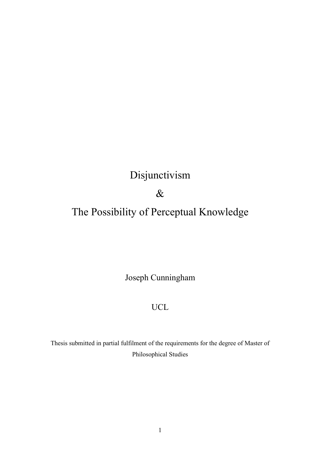# Disjunctivism

 $\&$ 

# The Possibility of Perceptual Knowledge

Joseph Cunningham

### UCL

Thesis submitted in partial fulfilment of the requirements for the degree of Master of Philosophical Studies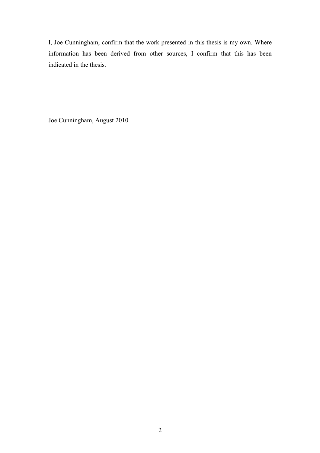I, Joe Cunningham, confirm that the work presented in this thesis is my own. Where information has been derived from other sources, I confirm that this has been indicated in the thesis.

Joe Cunningham, August 2010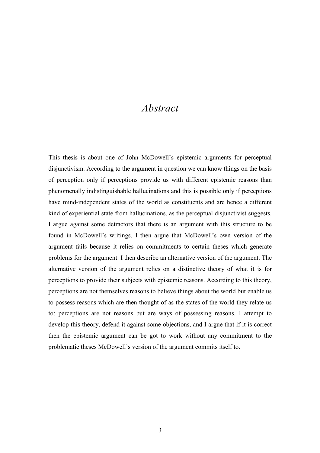### *Abstract*

This thesis is about one of John McDowell's epistemic arguments for perceptual disjunctivism. According to the argument in question we can know things on the basis of perception only if perceptions provide us with different epistemic reasons than phenomenally indistinguishable hallucinations and this is possible only if perceptions have mind-independent states of the world as constituents and are hence a different kind of experiential state from hallucinations, as the perceptual disjunctivist suggests. I argue against some detractors that there is an argument with this structure to be found in McDowell's writings. I then argue that McDowell's own version of the argument fails because it relies on commitments to certain theses which generate problems for the argument. I then describe an alternative version of the argument. The alternative version of the argument relies on a distinctive theory of what it is for perceptions to provide their subjects with epistemic reasons. According to this theory, perceptions are not themselves reasons to believe things about the world but enable us to possess reasons which are then thought of as the states of the world they relate us to: perceptions are not reasons but are ways of possessing reasons. I attempt to develop this theory, defend it against some objections, and I argue that if it is correct then the epistemic argument can be got to work without any commitment to the problematic theses McDowell's version of the argument commits itself to.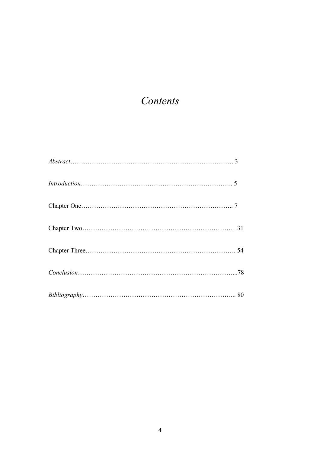## *Contents*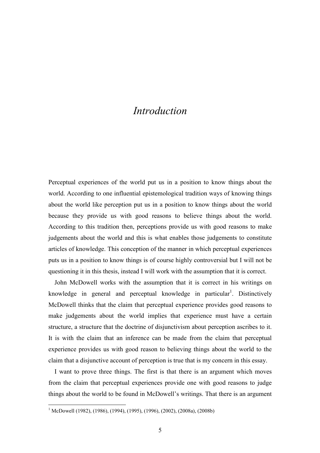### *Introduction*

Perceptual experiences of the world put us in a position to know things about the world. According to one influential epistemological tradition ways of knowing things about the world like perception put us in a position to know things about the world because they provide us with good reasons to believe things about the world. According to this tradition then, perceptions provide us with good reasons to make judgements about the world and this is what enables those judgements to constitute articles of knowledge. This conception of the manner in which perceptual experiences puts us in a position to know things is of course highly controversial but I will not be questioning it in this thesis, instead I will work with the assumption that it is correct.

John McDowell works with the assumption that it is correct in his writings on knowledge in general and perceptual knowledge in particular<sup>1</sup>. Distinctively McDowell thinks that the claim that perceptual experience provides good reasons to make judgements about the world implies that experience must have a certain structure, a structure that the doctrine of disjunctivism about perception ascribes to it. It is with the claim that an inference can be made from the claim that perceptual experience provides us with good reason to believing things about the world to the claim that a disjunctive account of perception is true that is my concern in this essay.

I want to prove three things. The first is that there is an argument which moves from the claim that perceptual experiences provide one with good reasons to judge things about the world to be found in McDowell's writings. That there is an argument

 1 McDowell (1982), (1986), (1994), (1995), (1996), (2002), (2008a), (2008b)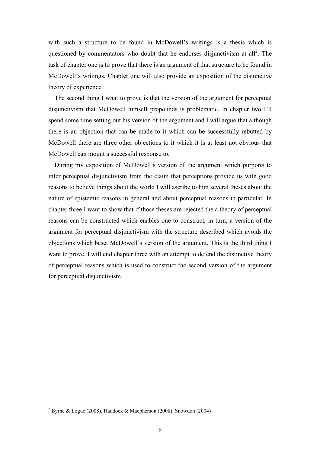with such a structure to be found in McDowell's writings is a thesis which is questioned by commentators who doubt that he endorses disjunctivism at all<sup>2</sup>. The task of chapter one is to prove that there is an argument of that structure to be found in McDowell's writings. Chapter one will also provide an exposition of the disjunctive theory of experience.

The second thing I what to prove is that the version of the argument for perceptual disjunctivism that McDowell himself propounds is problematic. In chapter two I'll spend some time setting out his version of the argument and I will argue that although there is an objection that can be made to it which can be successfully rebutted by McDowell there are three other objections to it which it is at least not obvious that McDowell can mount a successful response to.

During my exposition of McDowell's version of the argument which purports to infer perceptual disjunctivism from the claim that perceptions provide us with good reasons to believe things about the world I will ascribe to him several theses about the nature of epistemic reasons in general and about perceptual reasons in particular. In chapter three I want to show that if those theses are rejected the a theory of perceptual reasons can be constructed which enables one to construct, in turn, a version of the argument for perceptual disjunctivism with the structure described which avoids the objections which beset McDowell's version of the argument. This is the third thing I want to prove. I will end chapter three with an attempt to defend the distinctive theory of perceptual reasons which is used to construct the second version of the argument for perceptual disjunctivism.

 2 Byrne & Logue (2008), Haddock & Macpherson (2008), Snowdon (2004)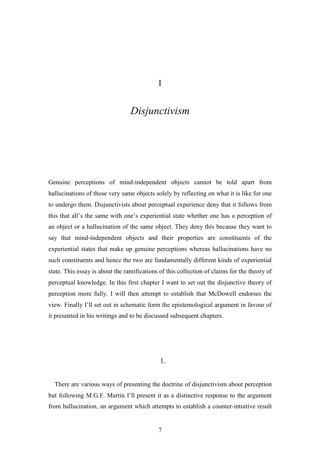I

### *Disjunctivism*

Genuine perceptions of mind-independent objects cannot be told apart from hallucinations of those very same objects solely by reflecting on what it is like for one to undergo them. Disjunctivists about perceptual experience deny that it follows from this that all's the same with one's experiential state whether one has a perception of an object or a hallucination of the same object. They deny this because they want to say that mind-independent objects and their properties are constituents of the experiential states that make up genuine perceptions whereas hallucinations have no such constituents and hence the two are fundamentally different kinds of experiential state. This essay is about the ramifications of this collection of claims for the theory of perceptual knowledge. In this first chapter I want to set out the disjunctive theory of perception more fully. I will then attempt to establish that McDowell endorses the view. Finally I'll set out in schematic form the epistemological argument in favour of it presented in his writings and to be discussed subsequent chapters.

1.

There are various ways of presenting the doctrine of disjunctivism about perception but following M.G.F. Martin I'll present it as a distinctive response to the argument from hallucination, an argument which attempts to establish a counter-intuitive result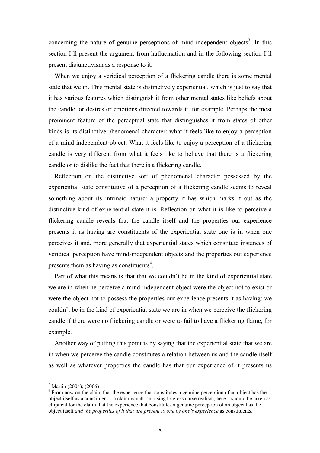concerning the nature of genuine perceptions of mind-independent objects<sup>3</sup>. In this section I'll present the argument from hallucination and in the following section I'll present disjunctivism as a response to it.

When we enjoy a veridical perception of a flickering candle there is some mental state that we in. This mental state is distinctively experiential, which is just to say that it has various features which distinguish it from other mental states like beliefs about the candle, or desires or emotions directed towards it, for example. Perhaps the most prominent feature of the perceptual state that distinguishes it from states of other kinds is its distinctive phenomenal character: what it feels like to enjoy a perception of a mind-independent object. What it feels like to enjoy a perception of a flickering candle is very different from what it feels like to believe that there is a flickering candle or to dislike the fact that there is a flickering candle.

Reflection on the distinctive sort of phenomenal character possessed by the experiential state constitutive of a perception of a flickering candle seems to reveal something about its intrinsic nature: a property it has which marks it out as the distinctive kind of experiential state it is. Reflection on what it is like to perceive a flickering candle reveals that the candle itself and the properties our experience presents it as having are constituents of the experiential state one is in when one perceives it and, more generally that experiential states which constitute instances of veridical perception have mind-independent objects and the properties out experience presents them as having as constituents<sup>4</sup>.

Part of what this means is that that we couldn't be in the kind of experiential state we are in when he perceive a mind-independent object were the object not to exist or were the object not to possess the properties our experience presents it as having: we couldn't be in the kind of experiential state we are in when we perceive the flickering candle if there were no flickering candle or were to fail to have a flickering flame, for example.

Another way of putting this point is by saying that the experiential state that we are in when we perceive the candle constitutes a relation between us and the candle itself as well as whatever properties the candle has that our experience of it presents us

<sup>&</sup>lt;sup>3</sup> Martin (2004); (2006)

<sup>&</sup>lt;sup>4</sup> From now on the claim that the experience that constitutes a genuine perception of an object has the object itself as a constituent – a claim which I'm using to gloss naïve realism, here – should be taken as elliptical for the claim that the experience that constitutes a genuine perception of an object has the object itself *and the properties of it that are present to one by one's experience* as constituents.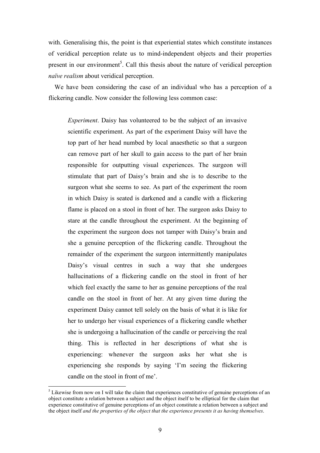with. Generalising this, the point is that experiential states which constitute instances of veridical perception relate us to mind-independent objects and their properties present in our environment<sup>5</sup>. Call this thesis about the nature of veridical perception *naïve realism* about veridical perception.

We have been considering the case of an individual who has a perception of a flickering candle. Now consider the following less common case:

*Experiment*. Daisy has volunteered to be the subject of an invasive scientific experiment. As part of the experiment Daisy will have the top part of her head numbed by local anaesthetic so that a surgeon can remove part of her skull to gain access to the part of her brain responsible for outputting visual experiences. The surgeon will stimulate that part of Daisy's brain and she is to describe to the surgeon what she seems to see. As part of the experiment the room in which Daisy is seated is darkened and a candle with a flickering flame is placed on a stool in front of her. The surgeon asks Daisy to stare at the candle throughout the experiment. At the beginning of the experiment the surgeon does not tamper with Daisy's brain and she a genuine perception of the flickering candle. Throughout the remainder of the experiment the surgeon intermittently manipulates Daisy's visual centres in such a way that she undergoes hallucinations of a flickering candle on the stool in front of her which feel exactly the same to her as genuine perceptions of the real candle on the stool in front of her. At any given time during the experiment Daisy cannot tell solely on the basis of what it is like for her to undergo her visual experiences of a flickering candle whether she is undergoing a hallucination of the candle or perceiving the real thing. This is reflected in her descriptions of what she is experiencing: whenever the surgeon asks her what she is experiencing she responds by saying 'I'm seeing the flickering candle on the stool in front of me'.

<sup>&</sup>lt;sup>5</sup> Likewise from now on I will take the claim that experiences constitutive of genuine perceptions of an object constitute a relation between a subject and the object itself to be elliptical for the claim that experience constitutive of genuine perceptions of an object constitute a relation between a subject and the object itself *and the properties of the object that the experience presents it as having themselves*.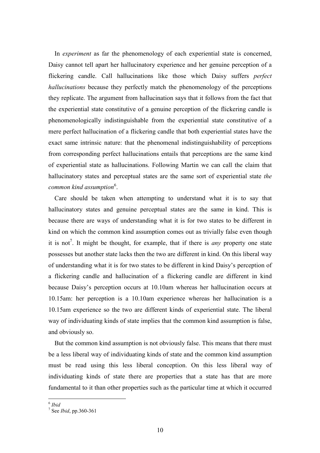In *experiment* as far the phenomenology of each experiential state is concerned, Daisy cannot tell apart her hallucinatory experience and her genuine perception of a flickering candle. Call hallucinations like those which Daisy suffers *perfect hallucinations* because they perfectly match the phenomenology of the perceptions they replicate. The argument from hallucination says that it follows from the fact that the experiential state constitutive of a genuine perception of the flickering candle is phenomenologically indistinguishable from the experiential state constitutive of a mere perfect hallucination of a flickering candle that both experiential states have the exact same intrinsic nature: that the phenomenal indistinguishability of perceptions from corresponding perfect hallucinations entails that perceptions are the same kind of experiential state as hallucinations. Following Martin we can call the claim that hallucinatory states and perceptual states are the same sort of experiential state *the common kind assumption*<sup>6</sup> .

Care should be taken when attempting to understand what it is to say that hallucinatory states and genuine perceptual states are the same in kind. This is because there are ways of understanding what it is for two states to be different in kind on which the common kind assumption comes out as trivially false even though it is not<sup>7</sup>. It might be thought, for example, that if there is *any* property one state possesses but another state lacks then the two are different in kind. On this liberal way of understanding what it is for two states to be different in kind Daisy's perception of a flickering candle and hallucination of a flickering candle are different in kind because Daisy's perception occurs at 10.10am whereas her hallucination occurs at 10.15am: her perception is a 10.10am experience whereas her hallucination is a 10.15am experience so the two are different kinds of experiential state. The liberal way of individuating kinds of state implies that the common kind assumption is false, and obviously so.

But the common kind assumption is not obviously false. This means that there must be a less liberal way of individuating kinds of state and the common kind assumption must be read using this less liberal conception. On this less liberal way of individuating kinds of state there are properties that a state has that are more fundamental to it than other properties such as the particular time at which it occurred

 6 *Ibid*

<sup>7</sup> See *Ibid*, pp.360-361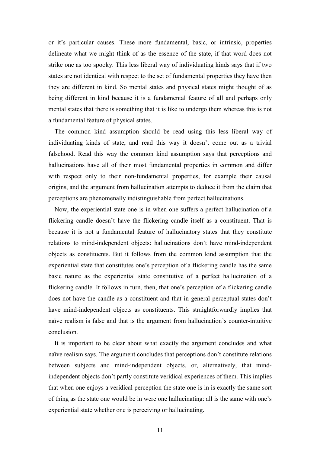or it's particular causes. These more fundamental, basic, or intrinsic, properties delineate what we might think of as the essence of the state, if that word does not strike one as too spooky. This less liberal way of individuating kinds says that if two states are not identical with respect to the set of fundamental properties they have then they are different in kind. So mental states and physical states might thought of as being different in kind because it is a fundamental feature of all and perhaps only mental states that there is something that it is like to undergo them whereas this is not a fundamental feature of physical states.

The common kind assumption should be read using this less liberal way of individuating kinds of state, and read this way it doesn't come out as a trivial falsehood. Read this way the common kind assumption says that perceptions and hallucinations have all of their most fundamental properties in common and differ with respect only to their non-fundamental properties, for example their causal origins, and the argument from hallucination attempts to deduce it from the claim that perceptions are phenomenally indistinguishable from perfect hallucinations.

Now, the experiential state one is in when one suffers a perfect hallucination of a flickering candle doesn't have the flickering candle itself as a constituent. That is because it is not a fundamental feature of hallucinatory states that they constitute relations to mind-independent objects: hallucinations don't have mind-independent objects as constituents. But it follows from the common kind assumption that the experiential state that constitutes one's perception of a flickering candle has the same basic nature as the experiential state constitutive of a perfect hallucination of a flickering candle. It follows in turn, then, that one's perception of a flickering candle does not have the candle as a constituent and that in general perceptual states don't have mind-independent objects as constituents. This straightforwardly implies that naïve realism is false and that is the argument from hallucination's counter-intuitive conclusion.

It is important to be clear about what exactly the argument concludes and what naïve realism says. The argument concludes that perceptions don't constitute relations between subjects and mind-independent objects, or, alternatively, that mindindependent objects don't partly constitute veridical experiences of them. This implies that when one enjoys a veridical perception the state one is in is exactly the same sort of thing as the state one would be in were one hallucinating: all is the same with one's experiential state whether one is perceiving or hallucinating.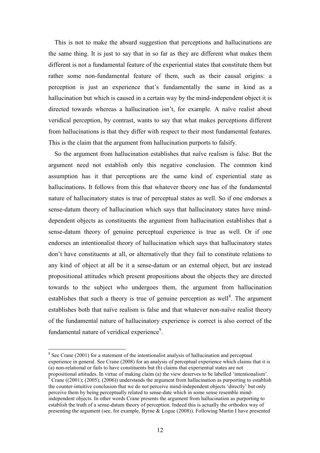This is not to make the absurd suggestion that perceptions and hallucinations are the same thing. It is just to say that in so far as they are different what makes them different is not a fundamental feature of the experiential states that constitute them but rather some non-fundamental feature of them, such as their causal origins: a perception is just an experience that's fundamentally the same in kind as a hallucination but which is caused in a certain way by the mind-independent object it is directed towards whereas a hallucination isn't, for example. A naïve realist about veridical perception, by contrast, wants to say that what makes perceptions different from hallucinations is that they differ with respect to their most fundamental features. This is the claim that the argument from hallucination purports to falsify.

So the argument from hallucination establishes that naïve realism is false. But the argument need not establish only this negative conclusion. The common kind assumption has it that perceptions are the same kind of experiential state as hallucinations. It follows from this that whatever theory one has of the fundamental nature of hallucinatory states is true of perceptual states as well. So if one endorses a sense-datum theory of hallucination which says that hallucinatory states have minddependent objects as constituents the argument from hallucination establishes that a sense-datum theory of genuine perceptual experience is true as well. Or if one endorses an intentionalist theory of hallucination which says that hallucinatory states don't have constituents at all, or alternatively that they fail to constitute relations to any kind of object at all be it a sense-datum or an external object, but are instead propositional attitudes which present propositions about the objects they are directed towards to the subject who undergoes them, the argument from hallucination establishes that such a theory is true of genuine perception as well<sup>8</sup>. The argument establishes both that naïve realism is false and that whatever non-naïve realist theory of the fundamental nature of hallucinatory experience is correct is also correct of the fundamental nature of veridical experience<sup>9</sup>.

 $\overline{a}$  $8$  See Crane (2001) for a statement of the intentionalist analysis of hallucination and perceptual experience in general. See Crane (2008) for an analysis of perceptual experience which claims that it is (a) non-relational or fails to have constituents but (b) claims that experiential states are not propositional attitudes. In virtue of making claim (a) the view deserves to be labelled 'intentionalism'.

<sup>&</sup>lt;sup>9</sup> Crane ((2001); (2005); (2006)) understands the argument from hallucination as purporting to establish the counter-intuitive conclusion that we do not perceive mind-independent objects 'directly' but only perceive them by being perceptually related to sense-date which in some sense resemble mindindependent objects. In other words Crane presents the argument from hallucination as purporting to establish the truth of a sense-datum theory of perception. Indeed this is actually the orthodox way of presenting the argument (see, for example, Byrne & Logue (2008)). Following Martin I have presented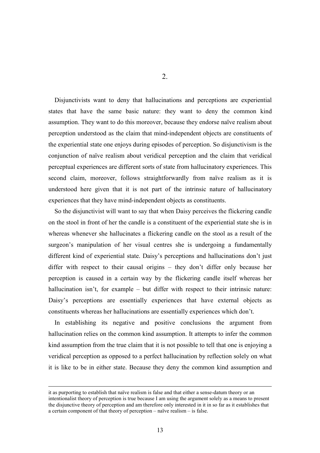Disjunctivists want to deny that hallucinations and perceptions are experiential states that have the same basic nature: they want to deny the common kind assumption. They want to do this moreover, because they endorse naïve realism about perception understood as the claim that mind-independent objects are constituents of the experiential state one enjoys during episodes of perception. So disjunctivism is the conjunction of naïve realism about veridical perception and the claim that veridical perceptual experiences are different sorts of state from hallucinatory experiences. This second claim, moreover, follows straightforwardly from naïve realism as it is understood here given that it is not part of the intrinsic nature of hallucinatory experiences that they have mind-independent objects as constituents.

So the disjunctivist will want to say that when Daisy perceives the flickering candle on the stool in front of her the candle is a constituent of the experiential state she is in whereas whenever she hallucinates a flickering candle on the stool as a result of the surgeon's manipulation of her visual centres she is undergoing a fundamentally different kind of experiential state. Daisy's perceptions and hallucinations don't just differ with respect to their causal origins – they don't differ only because her perception is caused in a certain way by the flickering candle itself whereas her hallucination isn't, for example – but differ with respect to their intrinsic nature: Daisy's perceptions are essentially experiences that have external objects as constituents whereas her hallucinations are essentially experiences which don't.

In establishing its negative and positive conclusions the argument from hallucination relies on the common kind assumption. It attempts to infer the common kind assumption from the true claim that it is not possible to tell that one is enjoying a veridical perception as opposed to a perfect hallucination by reflection solely on what it is like to be in either state. Because they deny the common kind assumption and

it as purporting to establish that naïve realism is false and that either a sense-datum theory or an intentionalist theory of perception is true because I am using the argument solely as a means to present the disjunctive theory of perception and am therefore only interested in it in so far as it establishes that a certain component of that theory of perception – naïve realism – is false.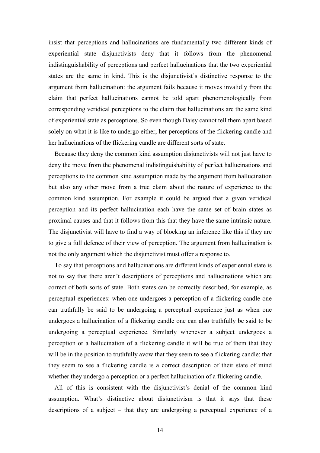insist that perceptions and hallucinations are fundamentally two different kinds of experiential state disjunctivists deny that it follows from the phenomenal indistinguishability of perceptions and perfect hallucinations that the two experiential states are the same in kind. This is the disjunctivist's distinctive response to the argument from hallucination: the argument fails because it moves invalidly from the claim that perfect hallucinations cannot be told apart phenomenologically from corresponding veridical perceptions to the claim that hallucinations are the same kind of experiential state as perceptions. So even though Daisy cannot tell them apart based solely on what it is like to undergo either, her perceptions of the flickering candle and her hallucinations of the flickering candle are different sorts of state.

Because they deny the common kind assumption disjunctivists will not just have to deny the move from the phenomenal indistinguishability of perfect hallucinations and perceptions to the common kind assumption made by the argument from hallucination but also any other move from a true claim about the nature of experience to the common kind assumption. For example it could be argued that a given veridical perception and its perfect hallucination each have the same set of brain states as proximal causes and that it follows from this that they have the same intrinsic nature. The disjunctivist will have to find a way of blocking an inference like this if they are to give a full defence of their view of perception. The argument from hallucination is not the only argument which the disjunctivist must offer a response to.

To say that perceptions and hallucinations are different kinds of experiential state is not to say that there aren't descriptions of perceptions and hallucinations which are correct of both sorts of state. Both states can be correctly described, for example, as perceptual experiences: when one undergoes a perception of a flickering candle one can truthfully be said to be undergoing a perceptual experience just as when one undergoes a hallucination of a flickering candle one can also truthfully be said to be undergoing a perceptual experience. Similarly whenever a subject undergoes a perception or a hallucination of a flickering candle it will be true of them that they will be in the position to truthfully avow that they seem to see a flickering candle: that they seem to see a flickering candle is a correct description of their state of mind whether they undergo a perception or a perfect hallucination of a flickering candle.

All of this is consistent with the disjunctivist's denial of the common kind assumption. What's distinctive about disjunctivism is that it says that these descriptions of a subject – that they are undergoing a perceptual experience of a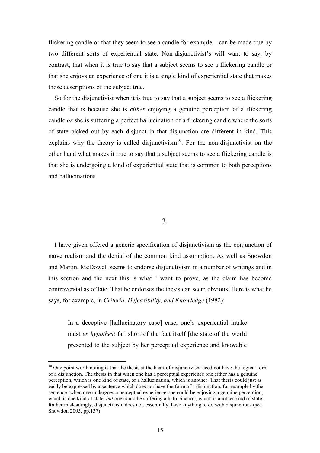flickering candle or that they seem to see a candle for example – can be made true by two different sorts of experiential state. Non-disjunctivist's will want to say, by contrast, that when it is true to say that a subject seems to see a flickering candle or that she enjoys an experience of one it is a single kind of experiential state that makes those descriptions of the subject true.

So for the disjunctivist when it is true to say that a subject seems to see a flickering candle that is because she is *either* enjoying a genuine perception of a flickering candle *or* she is suffering a perfect hallucination of a flickering candle where the sorts of state picked out by each disjunct in that disjunction are different in kind. This explains why the theory is called disjunctivism<sup>10</sup>. For the non-disjunctivist on the other hand what makes it true to say that a subject seems to see a flickering candle is that she is undergoing a kind of experiential state that is common to both perceptions and hallucinations.

3.

I have given offered a generic specification of disjunctivism as the conjunction of naïve realism and the denial of the common kind assumption. As well as Snowdon and Martin, McDowell seems to endorse disjunctivism in a number of writings and in this section and the next this is what I want to prove, as the claim has become controversial as of late. That he endorses the thesis can seem obvious. Here is what he says, for example, in *Criteria, Defeasibility, and Knowledge* (1982):

In a deceptive [hallucinatory case] case, one's experiential intake must *ex hypothesi* fall short of the fact itself [the state of the world presented to the subject by her perceptual experience and knowable

 $10$  One point worth noting is that the thesis at the heart of disjunctivism need not have the logical form of a disjunction. The thesis in that when one has a perceptual experience one either has a genuine perception, which is one kind of state, or a hallucination, which is another. That thesis could just as easily be expressed by a sentence which does not have the form of a disjunction, for example by the sentence 'when one undergoes a perceptual experience one could be enjoying a genuine perception, which is one kind of state, *but* one could be suffering a hallucination, which is another kind of state'. Rather misleadingly, disjunctivism does not, essentially, have anything to do with disjunctions (see Snowdon 2005, pp.137).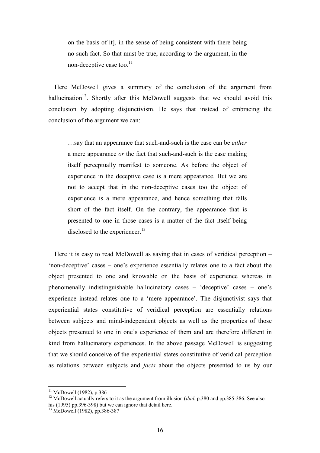on the basis of it], in the sense of being consistent with there being no such fact. So that must be true, according to the argument, in the non-deceptive case too. $11$ 

Here McDowell gives a summary of the conclusion of the argument from hallucination<sup>12</sup>. Shortly after this McDowell suggests that we should avoid this conclusion by adopting disjunctivism. He says that instead of embracing the conclusion of the argument we can:

…say that an appearance that such-and-such is the case can be *either* a mere appearance *or* the fact that such-and-such is the case making itself perceptually manifest to someone. As before the object of experience in the deceptive case is a mere appearance. But we are not to accept that in the non-deceptive cases too the object of experience is a mere appearance, and hence something that falls short of the fact itself. On the contrary, the appearance that is presented to one in those cases is a matter of the fact itself being disclosed to the experiencer.<sup>13</sup>

Here it is easy to read McDowell as saying that in cases of veridical perception – 'non-deceptive' cases – one's experience essentially relates one to a fact about the object presented to one and knowable on the basis of experience whereas in phenomenally indistinguishable hallucinatory cases – 'deceptive' cases – one's experience instead relates one to a 'mere appearance'. The disjunctivist says that experiential states constitutive of veridical perception are essentially relations between subjects and mind-independent objects as well as the properties of those objects presented to one in one's experience of them and are therefore different in kind from hallucinatory experiences. In the above passage McDowell is suggesting that we should conceive of the experiential states constitutive of veridical perception as relations between subjects and *facts* about the objects presented to us by our

 $11$  McDowell (1982), p.386

<sup>&</sup>lt;sup>12</sup> McDowell actually refers to it as the argument from illusion (*ibid*, p.380 and pp.385-386. See also his (1995) pp.396-398) but we can ignore that detail here.

<sup>&</sup>lt;sup>13</sup> McDowell (1982), pp.386-387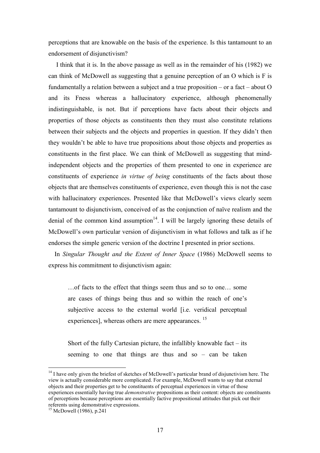perceptions that are knowable on the basis of the experience. Is this tantamount to an endorsement of disjunctivism?

 I think that it is. In the above passage as well as in the remainder of his (1982) we can think of McDowell as suggesting that a genuine perception of an O which is F is fundamentally a relation between a subject and a true proposition – or a fact – about O and its Fness whereas a hallucinatory experience, although phenomenally indistinguishable, is not. But if perceptions have facts about their objects and properties of those objects as constituents then they must also constitute relations between their subjects and the objects and properties in question. If they didn't then they wouldn't be able to have true propositions about those objects and properties as constituents in the first place. We can think of McDowell as suggesting that mindindependent objects and the properties of them presented to one in experience are constituents of experience *in virtue of being* constituents of the facts about those objects that are themselves constituents of experience, even though this is not the case with hallucinatory experiences. Presented like that McDowell's views clearly seem tantamount to disjunctivism, conceived of as the conjunction of naïve realism and the denial of the common kind assumption<sup>14</sup>. I will be largely ignoring these details of McDowell's own particular version of disjunctivism in what follows and talk as if he endorses the simple generic version of the doctrine I presented in prior sections.

In *Singular Thought and the Extent of Inner Space* (1986) McDowell seems to express his commitment to disjunctivism again:

…of facts to the effect that things seem thus and so to one… some are cases of things being thus and so within the reach of one's subjective access to the external world [i.e. veridical perceptual experiences], whereas others are mere appearances. <sup>15</sup>

Short of the fully Cartesian picture, the infallibly knowable fact  $-$  its seeming to one that things are thus and so – can be taken

 $14$  I have only given the briefest of sketches of McDowell's particular brand of disjunctivism here. The view is actually considerable more complicated. For example, McDowell wants to say that external objects and their properties get to be constituents of perceptual experiences in virtue of those experiences essentially having true *demonstrative* propositions as their content: objects are constituents of perceptions because perceptions are essentially factive propositional attitudes that pick out their referents using demonstrative expressions.

 $^{15}$  McDowell (1986), p.241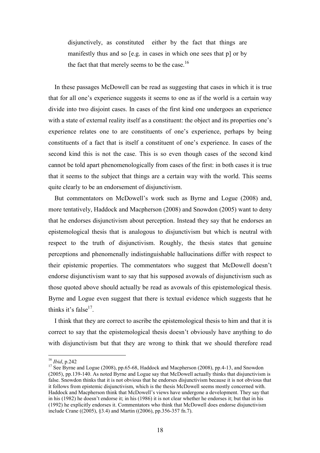disjunctively, as constituted either by the fact that things are manifestly thus and so [e.g. in cases in which one sees that p] or by the fact that that merely seems to be the case.<sup>16</sup>

In these passages McDowell can be read as suggesting that cases in which it is true that for all one's experience suggests it seems to one as if the world is a certain way divide into two disjoint cases. In cases of the first kind one undergoes an experience with a state of external reality itself as a constituent: the object and its properties one's experience relates one to are constituents of one's experience, perhaps by being constituents of a fact that is itself a constituent of one's experience. In cases of the second kind this is not the case. This is so even though cases of the second kind cannot be told apart phenomenologically from cases of the first: in both cases it is true that it seems to the subject that things are a certain way with the world. This seems quite clearly to be an endorsement of disjunctivism.

But commentators on McDowell's work such as Byrne and Logue (2008) and, more tentatively, Haddock and Macpherson (2008) and Snowdon (2005) want to deny that he endorses disjunctivism about perception. Instead they say that he endorses an epistemological thesis that is analogous to disjunctivism but which is neutral with respect to the truth of disjunctivism. Roughly, the thesis states that genuine perceptions and phenomenally indistinguishable hallucinations differ with respect to their epistemic properties. The commentators who suggest that McDowell doesn't endorse disjunctivism want to say that his supposed avowals of disjunctivism such as those quoted above should actually be read as avowals of this epistemological thesis. Byrne and Logue even suggest that there is textual evidence which suggests that he thinks it's false<sup>17</sup>.

I think that they are correct to ascribe the epistemological thesis to him and that it is correct to say that the epistemological thesis doesn't obviously have anything to do with disjunctivism but that they are wrong to think that we should therefore read

<sup>16</sup> *Ibid*, p.242

 $17$  See Byrne and Logue (2008), pp.65-68, Haddock and Macpherson (2008), pp.4-13, and Snowdon (2005), pp.139-140. As noted Byrne and Logue say that McDowell actually thinks that disjunctivism is false. Snowdon thinks that it is not obvious that he endorses disjunctivism because it is not obvious that it follows from epistemic disjunctivism, which is the thesis McDowell seems mostly concerned with. Haddock and Macpherson think that McDowell's views have undergone a development. They say that in his (1982) he doesn't endorse it; in his (1986) it is not clear whether he endorses it; but that in his (1992) he explicitly endorses it. Commentators who think that McDowell does endorse disjunctivism include Crane ((2005), §3.4) and Martin ((2006), pp.356-357 fn.7).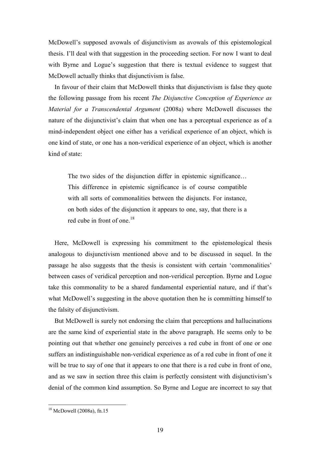McDowell's supposed avowals of disjunctivism as avowals of this epistemological thesis. I'll deal with that suggestion in the proceeding section. For now I want to deal with Byrne and Logue's suggestion that there is textual evidence to suggest that McDowell actually thinks that disjunctivism is false.

In favour of their claim that McDowell thinks that disjunctivism is false they quote the following passage from his recent *The Disjunctive Conception of Experience as Material for a Transcendental Argument* (2008a) where McDowell discusses the nature of the disjunctivist's claim that when one has a perceptual experience as of a mind-independent object one either has a veridical experience of an object, which is one kind of state, or one has a non-veridical experience of an object, which is another kind of state:

The two sides of the disjunction differ in epistemic significance… This difference in epistemic significance is of course compatible with all sorts of commonalities between the disjuncts. For instance, on both sides of the disjunction it appears to one, say, that there is a red cube in front of one.<sup>18</sup>

Here, McDowell is expressing his commitment to the epistemological thesis analogous to disjunctivism mentioned above and to be discussed in sequel. In the passage he also suggests that the thesis is consistent with certain 'commonalities' between cases of veridical perception and non-veridical perception. Byrne and Logue take this commonality to be a shared fundamental experiential nature, and if that's what McDowell's suggesting in the above quotation then he is committing himself to the falsity of disjunctivism.

But McDowell is surely not endorsing the claim that perceptions and hallucinations are the same kind of experiential state in the above paragraph. He seems only to be pointing out that whether one genuinely perceives a red cube in front of one or one suffers an indistinguishable non-veridical experience as of a red cube in front of one it will be true to say of one that it appears to one that there is a red cube in front of one, and as we saw in section three this claim is perfectly consistent with disjunctivism's denial of the common kind assumption. So Byrne and Logue are incorrect to say that

<sup>&</sup>lt;sup>18</sup> McDowell (2008a), fn.15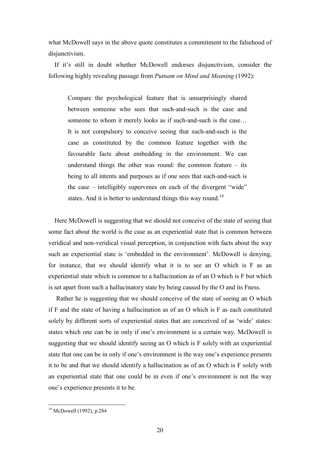what McDowell says in the above quote constitutes a commitment to the falsehood of disjunctivism.

If it's still in doubt whether McDowell endorses disjunctivism, consider the following highly revealing passage from *Putnam on Mind and Meaning* (1992):

Compare the psychological feature that is unsurprisingly shared between someone who sees that such-and-such is the case and someone to whom it merely looks as if such-and-such is the case… It is not compulsory to conceive seeing that such-and-such is the case as constituted by the common feature together with the favourable facts about embedding in the environment. We can understand things the other was round: the common feature  $-$  its being to all intents and purposes as if one sees that such-and-such is the case – intelligibly supervenes on each of the divergent "wide" states. And it is better to understand things this way round.<sup>19</sup>

Here McDowell is suggesting that we should not conceive of the state of seeing that some fact about the world is the case as an experiential state that is common between veridical and non-veridical visual perception, in conjunction with facts about the way such an experiential state is 'embedded in the environment'. McDowell is denying, for instance, that we should identify what it is to see an O which is F as an experiential state which is common to a hallucination as of an O which is F but which is set apart from such a hallucinatory state by being caused by the O and its Fness.

 Rather he is suggesting that we should conceive of the state of seeing an O which if F and the state of having a hallucination as of an O which is F as each constituted solely by different sorts of experiential states that are conceived of as 'wide' states: states which one can be in only if one's environment is a certain way. McDowell is suggesting that we should identify seeing an O which is F solely with an experiential state that one can be in only if one's environment is the way one's experience presents it to be and that we should identify a hallucination as of an O which is F solely with an experiential state that one could be in even if one's environment is not the way one's experience presents it to be.

<sup>&</sup>lt;sup>19</sup> McDowell (1992), p.284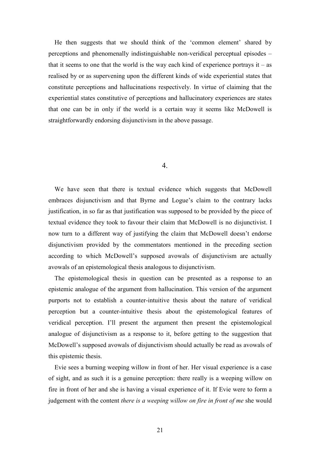He then suggests that we should think of the 'common element' shared by perceptions and phenomenally indistinguishable non-veridical perceptual episodes – that it seems to one that the world is the way each kind of experience portrays it – as realised by or as supervening upon the different kinds of wide experiential states that constitute perceptions and hallucinations respectively. In virtue of claiming that the experiential states constitutive of perceptions and hallucinatory experiences are states that one can be in only if the world is a certain way it seems like McDowell is straightforwardly endorsing disjunctivism in the above passage.

#### 4.

We have seen that there is textual evidence which suggests that McDowell embraces disjunctivism and that Byrne and Logue's claim to the contrary lacks justification, in so far as that justification was supposed to be provided by the piece of textual evidence they took to favour their claim that McDowell is no disjunctivist. I now turn to a different way of justifying the claim that McDowell doesn't endorse disjunctivism provided by the commentators mentioned in the preceding section according to which McDowell's supposed avowals of disjunctivism are actually avowals of an epistemological thesis analogous to disjunctivism.

The epistemological thesis in question can be presented as a response to an epistemic analogue of the argument from hallucination. This version of the argument purports not to establish a counter-intuitive thesis about the nature of veridical perception but a counter-intuitive thesis about the epistemological features of veridical perception. I'll present the argument then present the epistemological analogue of disjunctivism as a response to it, before getting to the suggestion that McDowell's supposed avowals of disjunctivism should actually be read as avowals of this epistemic thesis.

Evie sees a burning weeping willow in front of her. Her visual experience is a case of sight, and as such it is a genuine perception: there really is a weeping willow on fire in front of her and she is having a visual experience of it. If Evie were to form a judgement with the content *there is a weeping willow on fire in front of me* she would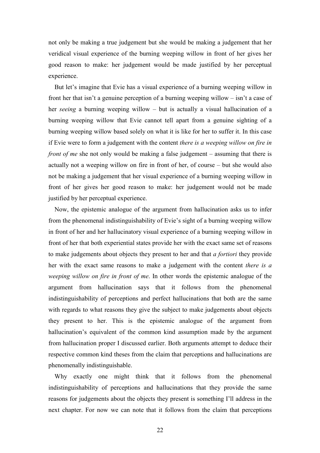not only be making a true judgement but she would be making a judgement that her veridical visual experience of the burning weeping willow in front of her gives her good reason to make: her judgement would be made justified by her perceptual experience.

But let's imagine that Evie has a visual experience of a burning weeping willow in front her that isn't a genuine perception of a burning weeping willow – isn't a case of her *seeing* a burning weeping willow – but is actually a visual hallucination of a burning weeping willow that Evie cannot tell apart from a genuine sighting of a burning weeping willow based solely on what it is like for her to suffer it. In this case if Evie were to form a judgement with the content *there is a weeping willow on fire in front of me* she not only would be making a false judgement – assuming that there is actually not a weeping willow on fire in front of her, of course – but she would also not be making a judgement that her visual experience of a burning weeping willow in front of her gives her good reason to make: her judgement would not be made justified by her perceptual experience.

Now, the epistemic analogue of the argument from hallucination asks us to infer from the phenomenal indistinguishability of Evie's sight of a burning weeping willow in front of her and her hallucinatory visual experience of a burning weeping willow in front of her that both experiential states provide her with the exact same set of reasons to make judgements about objects they present to her and that *a fortiori* they provide her with the exact same reasons to make a judgement with the content *there is a weeping willow on fire in front of me*. In other words the epistemic analogue of the argument from hallucination says that it follows from the phenomenal indistinguishability of perceptions and perfect hallucinations that both are the same with regards to what reasons they give the subject to make judgements about objects they present to her. This is the epistemic analogue of the argument from hallucination's equivalent of the common kind assumption made by the argument from hallucination proper I discussed earlier. Both arguments attempt to deduce their respective common kind theses from the claim that perceptions and hallucinations are phenomenally indistinguishable.

Why exactly one might think that it follows from the phenomenal indistinguishability of perceptions and hallucinations that they provide the same reasons for judgements about the objects they present is something I'll address in the next chapter. For now we can note that it follows from the claim that perceptions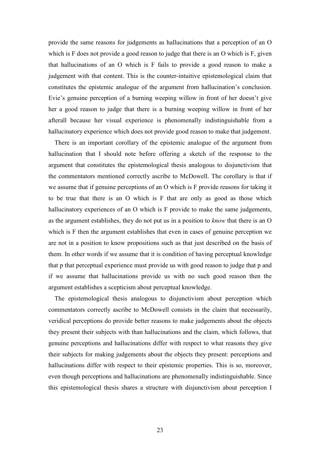provide the same reasons for judgements as hallucinations that a perception of an O which is F does not provide a good reason to judge that there is an O which is F, given that hallucinations of an O which is F fails to provide a good reason to make a judgement with that content. This is the counter-intuitive epistemological claim that constitutes the epistemic analogue of the argument from hallucination's conclusion. Evie's genuine perception of a burning weeping willow in front of her doesn't give her a good reason to judge that there is a burning weeping willow in front of her afterall because her visual experience is phenomenally indistinguishable from a hallucinatory experience which does not provide good reason to make that judgement.

There is an important corollary of the epistemic analogue of the argument from hallucination that I should note before offering a sketch of the response to the argument that constitutes the epistemological thesis analogous to disjunctivism that the commentators mentioned correctly ascribe to McDowell. The corollary is that if we assume that if genuine perceptions of an O which is F provide reasons for taking it to be true that there is an O which is F that are only as good as those which hallucinatory experiences of an O which is F provide to make the same judgements, as the argument establishes, they do not put us in a position to *know* that there is an O which is F then the argument establishes that even in cases of genuine perception we are not in a position to know propositions such as that just described on the basis of them. In other words if we assume that it is condition of having perceptual knowledge that p that perceptual experience must provide us with good reason to judge that p and if we assume that hallucinations provide us with no such good reason then the argument establishes a scepticism about perceptual knowledge.

The epistemological thesis analogous to disjunctivism about perception which commentators correctly ascribe to McDowell consists in the claim that necessarily, veridical perceptions do provide better reasons to make judgements about the objects they present their subjects with than hallucinations and the claim, which follows, that genuine perceptions and hallucinations differ with respect to what reasons they give their subjects for making judgements about the objects they present: perceptions and hallucinations differ with respect to their epistemic properties. This is so, moreover, even though perceptions and hallucinations are phenomenally indistinguishable. Since this epistemological thesis shares a structure with disjunctivism about perception I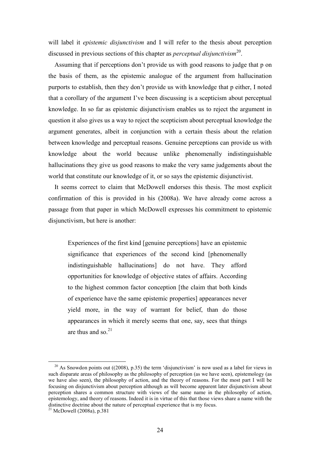will label it *epistemic disjunctivism* and I will refer to the thesis about perception discussed in previous sections of this chapter as *perceptual disjunctivism*<sup>20</sup>.

Assuming that if perceptions don't provide us with good reasons to judge that p on the basis of them, as the epistemic analogue of the argument from hallucination purports to establish, then they don't provide us with knowledge that p either, I noted that a corollary of the argument I've been discussing is a scepticism about perceptual knowledge. In so far as epistemic disjunctivism enables us to reject the argument in question it also gives us a way to reject the scepticism about perceptual knowledge the argument generates, albeit in conjunction with a certain thesis about the relation between knowledge and perceptual reasons. Genuine perceptions can provide us with knowledge about the world because unlike phenomenally indistinguishable hallucinations they give us good reasons to make the very same judgements about the world that constitute our knowledge of it, or so says the epistemic disjunctivist.

It seems correct to claim that McDowell endorses this thesis. The most explicit confirmation of this is provided in his (2008a). We have already come across a passage from that paper in which McDowell expresses his commitment to epistemic disjunctivism, but here is another:

Experiences of the first kind [genuine perceptions] have an epistemic significance that experiences of the second kind [phenomenally indistinguishable hallucinations] do not have. They afford opportunities for knowledge of objective states of affairs. According to the highest common factor conception [the claim that both kinds of experience have the same epistemic properties] appearances never yield more, in the way of warrant for belief, than do those appearances in which it merely seems that one, say, sees that things are thus and so. $21$ 

<sup>&</sup>lt;sup>20</sup> As Snowdon points out ((2008), p.35) the term 'disjunctivism' is now used as a label for views in such disparate areas of philosophy as the philosophy of perception (as we have seen), epistemology (as we have also seen), the philosophy of action, and the theory of reasons. For the most part I will be focusing on disjunctivism about perception although as will become apparent later disjunctivism about perception shares a common structure with views of the same name in the philosophy of action, epistemology, and theory of reasons. Indeed it is in virtue of this that those views share a name with the distinctive doctrine about the nature of perceptual experience that is my focus.

 $21$  McDowell (2008a), p.381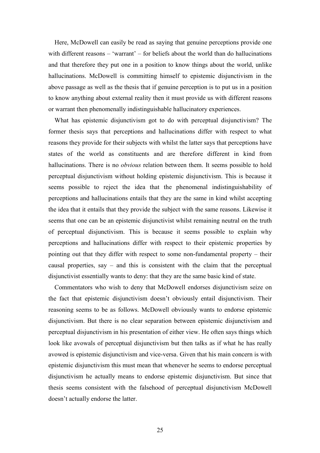Here, McDowell can easily be read as saying that genuine perceptions provide one with different reasons – 'warrant' – for beliefs about the world than do hallucinations and that therefore they put one in a position to know things about the world, unlike hallucinations. McDowell is committing himself to epistemic disjunctivism in the above passage as well as the thesis that if genuine perception is to put us in a position to know anything about external reality then it must provide us with different reasons or warrant then phenomenally indistinguishable hallucinatory experiences.

What has epistemic disjunctivism got to do with perceptual disjunctivism? The former thesis says that perceptions and hallucinations differ with respect to what reasons they provide for their subjects with whilst the latter says that perceptions have states of the world as constituents and are therefore different in kind from hallucinations. There is no *obvious* relation between them. It seems possible to hold perceptual disjunctivism without holding epistemic disjunctivism. This is because it seems possible to reject the idea that the phenomenal indistinguishability of perceptions and hallucinations entails that they are the same in kind whilst accepting the idea that it entails that they provide the subject with the same reasons. Likewise it seems that one can be an epistemic disjunctivist whilst remaining neutral on the truth of perceptual disjunctivism. This is because it seems possible to explain why perceptions and hallucinations differ with respect to their epistemic properties by pointing out that they differ with respect to some non-fundamental property – their causal properties, say – and this is consistent with the claim that the perceptual disjunctivist essentially wants to deny: that they are the same basic kind of state.

Commentators who wish to deny that McDowell endorses disjunctivism seize on the fact that epistemic disjunctivism doesn't obviously entail disjunctivism. Their reasoning seems to be as follows. McDowell obviously wants to endorse epistemic disjunctivism. But there is no clear separation between epistemic disjunctivism and perceptual disjunctivism in his presentation of either view. He often says things which look like avowals of perceptual disjunctivism but then talks as if what he has really avowed is epistemic disjunctivism and vice-versa. Given that his main concern is with epistemic disjunctivism this must mean that whenever he seems to endorse perceptual disjunctivism he actually means to endorse epistemic disjunctivism. But since that thesis seems consistent with the falsehood of perceptual disjunctivism McDowell doesn't actually endorse the latter.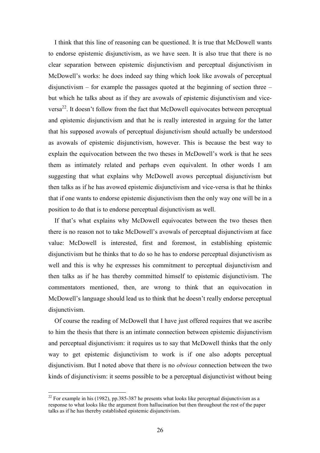I think that this line of reasoning can be questioned. It is true that McDowell wants to endorse epistemic disjunctivism, as we have seen. It is also true that there is no clear separation between epistemic disjunctivism and perceptual disjunctivism in McDowell's works: he does indeed say thing which look like avowals of perceptual disjunctivism – for example the passages quoted at the beginning of section three – but which he talks about as if they are avowals of epistemic disjunctivism and viceversa<sup>22</sup>. It doesn't follow from the fact that McDowell equivocates between perceptual and epistemic disjunctivism and that he is really interested in arguing for the latter that his supposed avowals of perceptual disjunctivism should actually be understood as avowals of epistemic disjunctivism, however. This is because the best way to explain the equivocation between the two theses in McDowell's work is that he sees them as intimately related and perhaps even equivalent. In other words I am suggesting that what explains why McDowell avows perceptual disjunctivism but then talks as if he has avowed epistemic disjunctivism and vice-versa is that he thinks that if one wants to endorse epistemic disjunctivism then the only way one will be in a position to do that is to endorse perceptual disjunctivism as well.

If that's what explains why McDowell equivocates between the two theses then there is no reason not to take McDowell's avowals of perceptual disjunctivism at face value: McDowell is interested, first and foremost, in establishing epistemic disjunctivism but he thinks that to do so he has to endorse perceptual disjunctivism as well and this is why he expresses his commitment to perceptual disjunctivism and then talks as if he has thereby committed himself to epistemic disjunctivism. The commentators mentioned, then, are wrong to think that an equivocation in McDowell's language should lead us to think that he doesn't really endorse perceptual disjunctivism.

Of course the reading of McDowell that I have just offered requires that we ascribe to him the thesis that there is an intimate connection between epistemic disjunctivism and perceptual disjunctivism: it requires us to say that McDowell thinks that the only way to get epistemic disjunctivism to work is if one also adopts perceptual disjunctivism. But I noted above that there is no *obvious* connection between the two kinds of disjunctivism: it seems possible to be a perceptual disjunctivist without being

 $2<sup>22</sup>$  For example in his (1982), pp.385-387 he presents what looks like perceptual disjunctivism as a response to what looks like the argument from hallucination but then throughout the rest of the paper talks as if he has thereby established epistemic disjunctivism.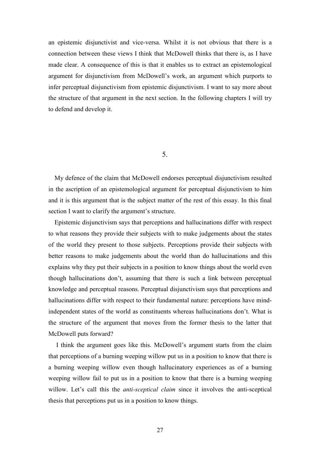an epistemic disjunctivist and vice-versa. Whilst it is not obvious that there is a connection between these views I think that McDowell thinks that there is, as I have made clear. A consequence of this is that it enables us to extract an epistemological argument for disjunctivism from McDowell's work, an argument which purports to infer perceptual disjunctivism from epistemic disjunctivism. I want to say more about the structure of that argument in the next section. In the following chapters I will try to defend and develop it.

#### 5.

My defence of the claim that McDowell endorses perceptual disjunctivism resulted in the ascription of an epistemological argument for perceptual disjunctivism to him and it is this argument that is the subject matter of the rest of this essay. In this final section I want to clarify the argument's structure.

Epistemic disjunctivism says that perceptions and hallucinations differ with respect to what reasons they provide their subjects with to make judgements about the states of the world they present to those subjects. Perceptions provide their subjects with better reasons to make judgements about the world than do hallucinations and this explains why they put their subjects in a position to know things about the world even though hallucinations don't, assuming that there is such a link between perceptual knowledge and perceptual reasons. Perceptual disjunctivism says that perceptions and hallucinations differ with respect to their fundamental nature: perceptions have mindindependent states of the world as constituents whereas hallucinations don't. What is the structure of the argument that moves from the former thesis to the latter that McDowell puts forward?

 I think the argument goes like this. McDowell's argument starts from the claim that perceptions of a burning weeping willow put us in a position to know that there is a burning weeping willow even though hallucinatory experiences as of a burning weeping willow fail to put us in a position to know that there is a burning weeping willow. Let's call this the *anti-sceptical claim* since it involves the anti-sceptical thesis that perceptions put us in a position to know things.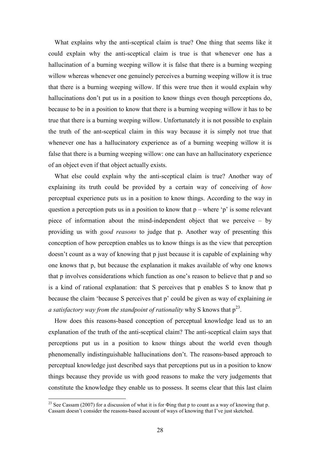What explains why the anti-sceptical claim is true? One thing that seems like it could explain why the anti-sceptical claim is true is that whenever one has a hallucination of a burning weeping willow it is false that there is a burning weeping willow whereas whenever one genuinely perceives a burning weeping willow it is true that there is a burning weeping willow. If this were true then it would explain why hallucinations don't put us in a position to know things even though perceptions do, because to be in a position to know that there is a burning weeping willow it has to be true that there is a burning weeping willow. Unfortunately it is not possible to explain the truth of the ant-sceptical claim in this way because it is simply not true that whenever one has a hallucinatory experience as of a burning weeping willow it is false that there is a burning weeping willow: one can have an hallucinatory experience of an object even if that object actually exists.

What else could explain why the anti-sceptical claim is true? Another way of explaining its truth could be provided by a certain way of conceiving of *how* perceptual experience puts us in a position to know things. According to the way in question a perception puts us in a position to know that  $p$  – where 'p' is some relevant piece of information about the mind-independent object that we perceive – by providing us with *good reasons* to judge that p. Another way of presenting this conception of how perception enables us to know things is as the view that perception doesn't count as a way of knowing that p just because it is capable of explaining why one knows that p, but because the explanation it makes available of why one knows that p involves considerations which function as one's reason to believe that p and so is a kind of rational explanation: that S perceives that p enables S to know that p because the claim 'because S perceives that p' could be given as way of explaining *in a satisfactory way from the standpoint of rationality why* S knows that  $p^{23}$ .

How does this reasons-based conception of perceptual knowledge lead us to an explanation of the truth of the anti-sceptical claim? The anti-sceptical claim says that perceptions put us in a position to know things about the world even though phenomenally indistinguishable hallucinations don't. The reasons-based approach to perceptual knowledge just described says that perceptions put us in a position to know things because they provide us with good reasons to make the very judgements that constitute the knowledge they enable us to possess. It seems clear that this last claim

<sup>&</sup>lt;sup>23</sup> See Cassam (2007) for a discussion of what it is for  $\Phi$ ing that p to count as a way of knowing that p. Cassam doesn't consider the reasons-based account of ways of knowing that I've just sketched.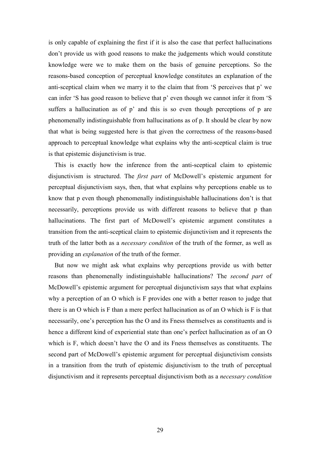is only capable of explaining the first if it is also the case that perfect hallucinations don't provide us with good reasons to make the judgements which would constitute knowledge were we to make them on the basis of genuine perceptions. So the reasons-based conception of perceptual knowledge constitutes an explanation of the anti-sceptical claim when we marry it to the claim that from 'S perceives that p' we can infer 'S has good reason to believe that p' even though we cannot infer it from 'S suffers a hallucination as of p' and this is so even though perceptions of p are phenomenally indistinguishable from hallucinations as of p. It should be clear by now that what is being suggested here is that given the correctness of the reasons-based approach to perceptual knowledge what explains why the anti-sceptical claim is true is that epistemic disjunctivism is true.

This is exactly how the inference from the anti-sceptical claim to epistemic disjunctivism is structured. The *first part* of McDowell's epistemic argument for perceptual disjunctivism says, then, that what explains why perceptions enable us to know that p even though phenomenally indistinguishable hallucinations don't is that necessarily, perceptions provide us with different reasons to believe that p than hallucinations. The first part of McDowell's epistemic argument constitutes a transition from the anti-sceptical claim to epistemic disjunctivism and it represents the truth of the latter both as a *necessary condition* of the truth of the former, as well as providing an *explanation* of the truth of the former.

But now we might ask what explains why perceptions provide us with better reasons than phenomenally indistinguishable hallucinations? The *second part* of McDowell's epistemic argument for perceptual disjunctivism says that what explains why a perception of an O which is F provides one with a better reason to judge that there is an O which is F than a mere perfect hallucination as of an O which is F is that necessarily, one's perception has the O and its Fness themselves as constituents and is hence a different kind of experiential state than one's perfect hallucination as of an O which is F, which doesn't have the O and its Fness themselves as constituents. The second part of McDowell's epistemic argument for perceptual disjunctivism consists in a transition from the truth of epistemic disjunctivism to the truth of perceptual disjunctivism and it represents perceptual disjunctivism both as a *necessary condition*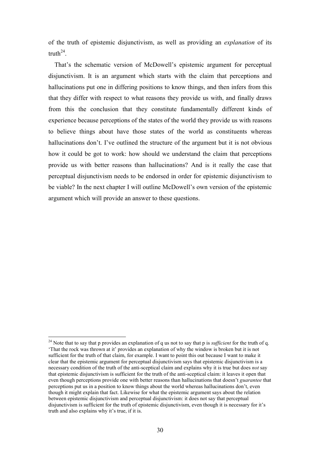of the truth of epistemic disjunctivism, as well as providing an *explanation* of its truth $^{24}$ .

That's the schematic version of McDowell's epistemic argument for perceptual disjunctivism. It is an argument which starts with the claim that perceptions and hallucinations put one in differing positions to know things, and then infers from this that they differ with respect to what reasons they provide us with, and finally draws from this the conclusion that they constitute fundamentally different kinds of experience because perceptions of the states of the world they provide us with reasons to believe things about have those states of the world as constituents whereas hallucinations don't. I've outlined the structure of the argument but it is not obvious how it could be got to work: how should we understand the claim that perceptions provide us with better reasons than hallucinations? And is it really the case that perceptual disjunctivism needs to be endorsed in order for epistemic disjunctivism to be viable? In the next chapter I will outline McDowell's own version of the epistemic argument which will provide an answer to these questions.

<sup>24</sup> Note that to say that p provides an explanation of q us not to say that p is *sufficient* for the truth of q. 'That the rock was thrown at it' provides an explanation of why the window is broken but it is not sufficient for the truth of that claim, for example. I want to point this out because I want to make it clear that the epistemic argument for perceptual disjunctivism says that epistemic disjunctivism is a necessary condition of the truth of the anti-sceptical claim and explains why it is true but does *not* say that epistemic disjunctivism is sufficient for the truth of the anti-sceptical claim: it leaves it open that even though perceptions provide one with better reasons than hallucinations that doesn't *guarantee* that perceptions put us in a position to know things about the world whereas hallucinations don't, even though it might explain that fact. Likewise for what the epistemic argument says about the relation between epistemic disjunctivism and perceptual disjunctivism: it does not say that perceptual disjunctivism is sufficient for the truth of epistemic disjunctivism, even though it is necessary for it's truth and also explains why it's true, if it is.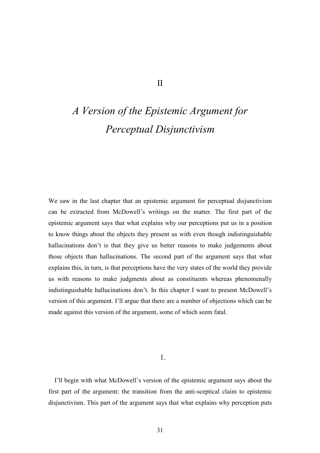# *A Version of the Epistemic Argument for Perceptual Disjunctivism*

We saw in the last chapter that an epistemic argument for perceptual disjunctivism can be extracted from McDowell's writings on the matter. The first part of the epistemic argument says that what explains why our perceptions put us in a position to know things about the objects they present us with even though indistinguishable hallucinations don't is that they give us better reasons to make judgements about those objects than hallucinations. The second part of the argument says that what explains this, in turn, is that perceptions have the very states of the world they provide us with reasons to make judgments about as constituents whereas phenomenally indistinguishable hallucinations don't. In this chapter I want to present McDowell's version of this argument. I'll argue that there are a number of objections which can be made against this version of the argument, some of which seem fatal.

1.

I'll begin with what McDowell's version of the epistemic argument says about the first part of the argument: the transition from the anti-sceptical claim to epistemic disjunctivism. This part of the argument says that what explains why perception puts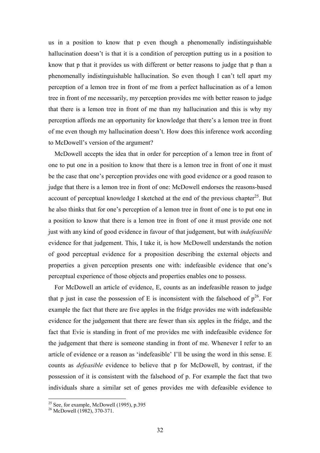us in a position to know that p even though a phenomenally indistinguishable hallucination doesn't is that it is a condition of perception putting us in a position to know that p that it provides us with different or better reasons to judge that p than a phenomenally indistinguishable hallucination. So even though I can't tell apart my perception of a lemon tree in front of me from a perfect hallucination as of a lemon tree in front of me necessarily, my perception provides me with better reason to judge that there is a lemon tree in front of me than my hallucination and this is why my perception affords me an opportunity for knowledge that there's a lemon tree in front of me even though my hallucination doesn't. How does this inference work according to McDowell's version of the argument?

McDowell accepts the idea that in order for perception of a lemon tree in front of one to put one in a position to know that there is a lemon tree in front of one it must be the case that one's perception provides one with good evidence or a good reason to judge that there is a lemon tree in front of one: McDowell endorses the reasons-based account of perceptual knowledge I sketched at the end of the previous chapter<sup>25</sup>. But he also thinks that for one's perception of a lemon tree in front of one is to put one in a position to know that there is a lemon tree in front of one it must provide one not just with any kind of good evidence in favour of that judgement, but with *indefeasible* evidence for that judgement. This, I take it, is how McDowell understands the notion of good perceptual evidence for a proposition describing the external objects and properties a given perception presents one with: indefeasible evidence that one's perceptual experience of those objects and properties enables one to possess.

For McDowell an article of evidence, E, counts as an indefeasible reason to judge that p just in case the possession of E is inconsistent with the falsehood of  $p^{26}$ . For example the fact that there are five apples in the fridge provides me with indefeasible evidence for the judgement that there are fewer than six apples in the fridge, and the fact that Evie is standing in front of me provides me with indefeasible evidence for the judgement that there is someone standing in front of me. Whenever I refer to an article of evidence or a reason as 'indefeasible' I'll be using the word in this sense. E counts as *defeasible* evidence to believe that p for McDowell, by contrast, if the possession of it is consistent with the falsehood of p. For example the fact that two individuals share a similar set of genes provides me with defeasible evidence to

 $25$  See, for example, McDowell (1995), p.395

<sup>&</sup>lt;sup>26</sup> McDowell (1982), 370-371.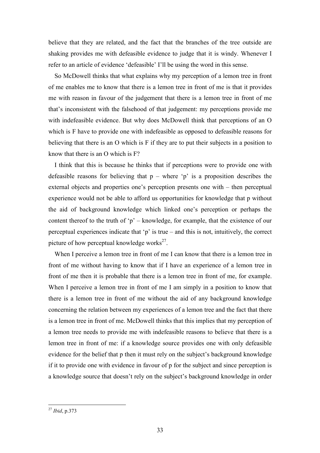believe that they are related, and the fact that the branches of the tree outside are shaking provides me with defeasible evidence to judge that it is windy. Whenever I refer to an article of evidence 'defeasible' I'll be using the word in this sense.

So McDowell thinks that what explains why my perception of a lemon tree in front of me enables me to know that there is a lemon tree in front of me is that it provides me with reason in favour of the judgement that there is a lemon tree in front of me that's inconsistent with the falsehood of that judgement: my perceptions provide me with indefeasible evidence. But why does McDowell think that perceptions of an O which is F have to provide one with indefeasible as opposed to defeasible reasons for believing that there is an O which is F if they are to put their subjects in a position to know that there is an O which is F?

I think that this is because he thinks that if perceptions were to provide one with defeasible reasons for believing that  $p -$  where 'p' is a proposition describes the external objects and properties one's perception presents one with – then perceptual experience would not be able to afford us opportunities for knowledge that p without the aid of background knowledge which linked one's perception or perhaps the content thereof to the truth of 'p' – knowledge, for example, that the existence of our perceptual experiences indicate that 'p' is true – and this is not, intuitively, the correct picture of how perceptual knowledge works $^{27}$ .

When I perceive a lemon tree in front of me I can know that there is a lemon tree in front of me without having to know that if I have an experience of a lemon tree in front of me then it is probable that there is a lemon tree in front of me, for example. When I perceive a lemon tree in front of me I am simply in a position to know that there is a lemon tree in front of me without the aid of any background knowledge concerning the relation between my experiences of a lemon tree and the fact that there is a lemon tree in front of me. McDowell thinks that this implies that my perception of a lemon tree needs to provide me with indefeasible reasons to believe that there is a lemon tree in front of me: if a knowledge source provides one with only defeasible evidence for the belief that p then it must rely on the subject's background knowledge if it to provide one with evidence in favour of p for the subject and since perception is a knowledge source that doesn't rely on the subject's background knowledge in order

 $\overline{a}$ <sup>27</sup> *Ibid*, p.373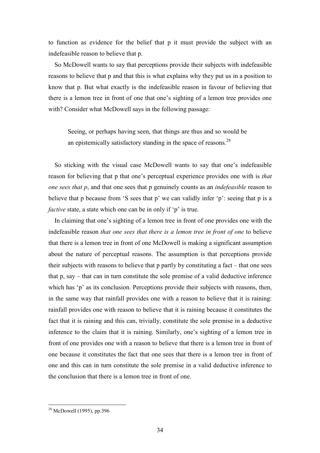to function as evidence for the belief that p it must provide the subject with an indefeasible reason to believe that p.

So McDowell wants to say that perceptions provide their subjects with indefeasible reasons to believe that p and that this is what explains why they put us in a position to know that p. But what exactly is the indefeasible reason in favour of believing that there is a lemon tree in front of one that one's sighting of a lemon tree provides one with? Consider what McDowell says in the following passage:

Seeing, or perhaps having seen, that things are thus and so would be an epistemically satisfactory standing in the space of reasons.<sup>28</sup>

So sticking with the visual case McDowell wants to say that one's indefeasible reason for believing that p that one's perceptual experience provides one with is *that one sees that p*, and that one sees that p genuinely counts as an *indefeasible* reason to believe that p because from 'S sees that p' we can validly infer 'p': seeing that p is a *factive* state, a state which one can be in only if 'p' is true.

In claiming that one's sighting of a lemon tree in front of one provides one with the indefeasible reason *that one sees that there is a lemon tree in front of one* to believe that there is a lemon tree in front of one McDowell is making a significant assumption about the nature of perceptual reasons. The assumption is that perceptions provide their subjects with reasons to believe that p partly by constituting a fact – that one sees that p, say – that can in turn constitute the sole premise of a valid deductive inference which has 'p' as its conclusion. Perceptions provide their subjects with reasons, then, in the same way that rainfall provides one with a reason to believe that it is raining: rainfall provides one with reason to believe that it is raining because it constitutes the fact that it is raining and this can, trivially, constitute the sole premise in a deductive inference to the claim that it is raining. Similarly, one's sighting of a lemon tree in front of one provides one with a reason to believe that there is a lemon tree in front of one because it constitutes the fact that one sees that there is a lemon tree in front of one and this can in turn constitute the sole premise in a valid deductive inference to the conclusion that there is a lemon tree in front of one.

 $28$  McDowell (1995), pp.396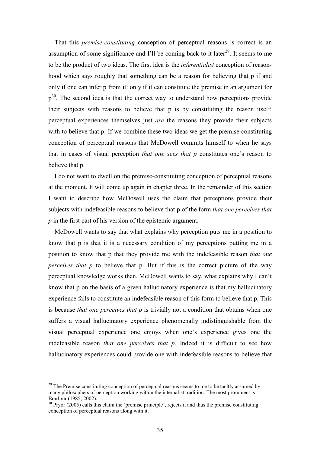That this *premise-constituting* conception of perceptual reasons is correct is an assumption of some significance and I'll be coming back to it later<sup>29</sup>. It seems to me to be the product of two ideas. The first idea is the *inferentialist* conception of reasonhood which says roughly that something can be a reason for believing that p if and only if one can infer p from it: only if it can constitute the premise in an argument for p<sup>30</sup>. The second idea is that the correct way to understand how perceptions provide their subjects with reasons to believe that p is by constituting the reason itself: perceptual experiences themselves just *are* the reasons they provide their subjects with to believe that p. If we combine these two ideas we get the premise constituting conception of perceptual reasons that McDowell commits himself to when he says that in cases of visual perception *that one sees that p* constitutes one's reason to believe that p.

I do not want to dwell on the premise-constituting conception of perceptual reasons at the moment. It will come up again in chapter three. In the remainder of this section I want to describe how McDowell uses the claim that perceptions provide their subjects with indefeasible reasons to believe that p of the form *that one perceives that p* in the first part of his version of the epistemic argument.

McDowell wants to say that what explains why perception puts me in a position to know that p is that it is a necessary condition of my perceptions putting me in a position to know that p that they provide me with the indefeasible reason *that one perceives that p* to believe that p. But if this is the correct picture of the way perceptual knowledge works then, McDowell wants to say, what explains why I can't know that p on the basis of a given hallucinatory experience is that my hallucinatory experience fails to constitute an indefeasible reason of this form to believe that p. This is because *that one perceives that p* is trivially not a condition that obtains when one suffers a visual hallucinatory experience phenomenally indistinguishable from the visual perceptual experience one enjoys when one's experience gives one the indefeasible reason *that one perceives that p*. Indeed it is difficult to see how hallucinatory experiences could provide one with indefeasible reasons to believe that

 $29$  The Premise constituting conception of perceptual reasons seems to me to be tacitly assumed by many philosophers of perception working within the internalist tradition. The most prominent is BonJour (1985; 2002).

 $30$  Prvor (2005) calls this claim the 'premise principle', rejects it and thus the premise constituting conception of perceptual reasons along with it.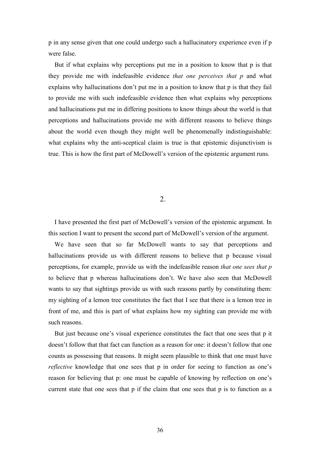p in any sense given that one could undergo such a hallucinatory experience even if p were false.

But if what explains why perceptions put me in a position to know that p is that they provide me with indefeasible evidence *that one perceives that p* and what explains why hallucinations don't put me in a position to know that p is that they fail to provide me with such indefeasible evidence then what explains why perceptions and hallucinations put me in differing positions to know things about the world is that perceptions and hallucinations provide me with different reasons to believe things about the world even though they might well be phenomenally indistinguishable: what explains why the anti-sceptical claim is true is that epistemic disjunctivism is true. This is how the first part of McDowell's version of the epistemic argument runs.

#### 2.

I have presented the first part of McDowell's version of the epistemic argument. In this section I want to present the second part of McDowell's version of the argument.

We have seen that so far McDowell wants to say that perceptions and hallucinations provide us with different reasons to believe that p because visual perceptions, for example, provide us with the indefeasible reason *that one sees that p*  to believe that p whereas hallucinations don't. We have also seen that McDowell wants to say that sightings provide us with such reasons partly by constituting them: my sighting of a lemon tree constitutes the fact that I see that there is a lemon tree in front of me, and this is part of what explains how my sighting can provide me with such reasons.

But just because one's visual experience constitutes the fact that one sees that p it doesn't follow that that fact can function as a reason for one: it doesn't follow that one counts as possessing that reasons. It might seem plausible to think that one must have *reflective* knowledge that one sees that p in order for seeing to function as one's reason for believing that p: one must be capable of knowing by reflection on one's current state that one sees that p if the claim that one sees that p is to function as a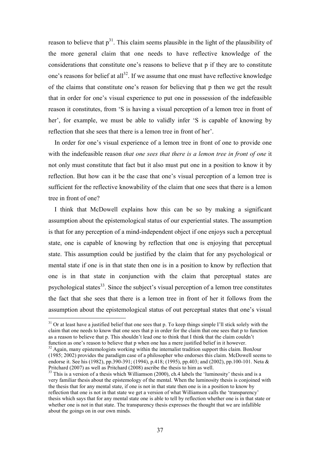reason to believe that  $p^{31}$ . This claim seems plausible in the light of the plausibility of the more general claim that one needs to have reflective knowledge of the considerations that constitute one's reasons to believe that p if they are to constitute one's reasons for belief at all<sup>32</sup>. If we assume that one must have reflective knowledge of the claims that constitute one's reason for believing that p then we get the result that in order for one's visual experience to put one in possession of the indefeasible reason it constitutes, from 'S is having a visual perception of a lemon tree in front of her', for example, we must be able to validly infer 'S is capable of knowing by reflection that she sees that there is a lemon tree in front of her'.

In order for one's visual experience of a lemon tree in front of one to provide one with the indefeasible reason *that one sees that there is a lemon tree in front of one* it not only must constitute that fact but it also must put one in a position to know it by reflection. But how can it be the case that one's visual perception of a lemon tree is sufficient for the reflective knowability of the claim that one sees that there is a lemon tree in front of one?

I think that McDowell explains how this can be so by making a significant assumption about the epistemological status of our experiential states. The assumption is that for any perception of a mind-independent object if one enjoys such a perceptual state, one is capable of knowing by reflection that one is enjoying that perceptual state. This assumption could be justified by the claim that for any psychological or mental state if one is in that state then one is in a position to know by reflection that one is in that state in conjunction with the claim that perceptual states are psychological states<sup>33</sup>. Since the subject's visual perception of a lemon tree constitutes the fact that she sees that there is a lemon tree in front of her it follows from the assumption about the epistemological status of out perceptual states that one's visual

<sup>&</sup>lt;sup>31</sup> Or at least have a justified belief that one sees that p. To keep things simple I'll stick solely with the claim that one needs to know that one sees that p in order for the claim that one sees that p to function as a reason to believe that p. This shouldn't lead one to think that I think that the claim couldn't function as one's reason to believe that p when one has a mere justified belief in it however.

<sup>&</sup>lt;sup>32</sup> Again, many epistemologists working within the internalist tradition support this claim. BonJour (1985; 2002) provides the paradigm case of a philosopher who endorses this claim. McDowell seems to endorse it. See his (1982), pp.390-391; (1994), p.418; (1995), pp.403; and (2002), pp.100-101. Neta & Pritchard (2007) as well as Pritchard (2008) ascribe the thesis to him as well.

 $33$  This is a version of a thesis which Williamson (2000), ch.4 labels the 'luminosity' thesis and is a very familiar thesis about the epistemology of the mental. When the luminosity thesis is conjoined with the thesis that for any mental state, if one is not in that state then one is in a position to know by reflection that one is not in that state we get a version of what Williamson calls the 'transparency' thesis which says that for any mental state one is able to tell by reflection whether one is in that state or whether one is not in that state. The transparency thesis expresses the thought that we are infallible about the goings on in our own minds.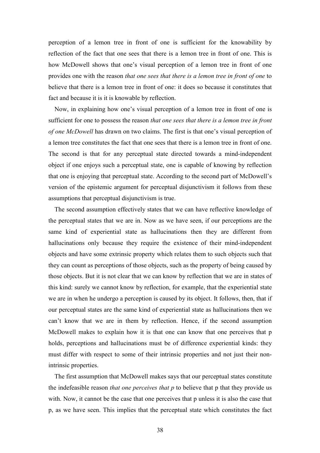perception of a lemon tree in front of one is sufficient for the knowability by reflection of the fact that one sees that there is a lemon tree in front of one. This is how McDowell shows that one's visual perception of a lemon tree in front of one provides one with the reason *that one sees that there is a lemon tree in front of one* to believe that there is a lemon tree in front of one: it does so because it constitutes that fact and because it is it is knowable by reflection.

Now, in explaining how one's visual perception of a lemon tree in front of one is sufficient for one to possess the reason *that one sees that there is a lemon tree in front of one McDowell* has drawn on two claims. The first is that one's visual perception of a lemon tree constitutes the fact that one sees that there is a lemon tree in front of one. The second is that for any perceptual state directed towards a mind-independent object if one enjoys such a perceptual state, one is capable of knowing by reflection that one is enjoying that perceptual state. According to the second part of McDowell's version of the epistemic argument for perceptual disjunctivism it follows from these assumptions that perceptual disjunctivism is true.

The second assumption effectively states that we can have reflective knowledge of the perceptual states that we are in. Now as we have seen, if our perceptions are the same kind of experiential state as hallucinations then they are different from hallucinations only because they require the existence of their mind-independent objects and have some extrinsic property which relates them to such objects such that they can count as perceptions of those objects, such as the property of being caused by those objects. But it is not clear that we can know by reflection that we are in states of this kind: surely we cannot know by reflection, for example, that the experiential state we are in when he undergo a perception is caused by its object. It follows, then, that if our perceptual states are the same kind of experiential state as hallucinations then we can't know that we are in them by reflection. Hence, if the second assumption McDowell makes to explain how it is that one can know that one perceives that p holds, perceptions and hallucinations must be of difference experiential kinds: they must differ with respect to some of their intrinsic properties and not just their nonintrinsic properties.

The first assumption that McDowell makes says that our perceptual states constitute the indefeasible reason *that one perceives that p* to believe that p that they provide us with. Now, it cannot be the case that one perceives that p unless it is also the case that p, as we have seen. This implies that the perceptual state which constitutes the fact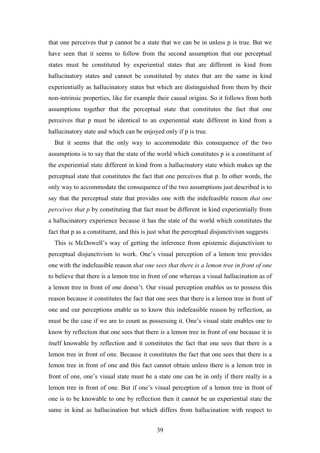that one perceives that p cannot be a state that we can be in unless p is true. But we have seen that it seems to follow from the second assumption that our perceptual states must be constituted by experiential states that are different in kind from hallucinatory states and cannot be constituted by states that are the same in kind experientially as hallucinatory states but which are distinguished from them by their non-intrinsic properties, like for example their causal origins. So it follows from both assumptions together that the perceptual state that constitutes the fact that one perceives that p must be identical to an experiential state different in kind from a hallucinatory state and which can be enjoyed only if p is true.

But it seems that the only way to accommodate this consequence of the two assumptions is to say that the state of the world which constitutes p is a constituent of the experiential state different in kind from a hallucinatory state which makes up the perceptual state that constitutes the fact that one perceives that p. In other words, the only way to accommodate the consequence of the two assumptions just described is to say that the perceptual state that provides one with the indefeasible reason *that one perceives that p* by constituting that fact must be different in kind experientially from a hallucinatory experience because it has the state of the world which constitutes the fact that p as a constituent, and this is just what the perceptual disjunctivism suggests.

This is McDowell's way of getting the inference from epistemic disjunctivism to perceptual disjunctivism to work. One's visual perception of a lemon tree provides one with the indefeasible reason *that one sees that there is a lemon tree in front of one*  to believe that there is a lemon tree in front of one whereas a visual hallucination as of a lemon tree in front of one doesn't. Our visual perception enables us to possess this reason because it constitutes the fact that one sees that there is a lemon tree in front of one and our perceptions enable us to know this indefeasible reason by reflection, as must be the case if we are to count as possessing it. One's visual state enables one to know by reflection that one sees that there is a lemon tree in front of one because it is itself knowable by reflection and it constitutes the fact that one sees that there is a lemon tree in front of one. Because it constitutes the fact that one sees that there is a lemon tree in front of one and this fact cannot obtain unless there is a lemon tree in front of one, one's visual state must be a state one can be in only if there really is a lemon tree in front of one. But if one's visual perception of a lemon tree in front of one is to be knowable to one by reflection then it cannot be an experiential state the same in kind as hallucination but which differs from hallucination with respect to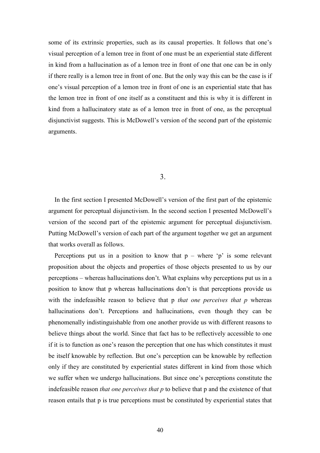some of its extrinsic properties, such as its causal properties. It follows that one's visual perception of a lemon tree in front of one must be an experiential state different in kind from a hallucination as of a lemon tree in front of one that one can be in only if there really is a lemon tree in front of one. But the only way this can be the case is if one's visual perception of a lemon tree in front of one is an experiential state that has the lemon tree in front of one itself as a constituent and this is why it is different in kind from a hallucinatory state as of a lemon tree in front of one, as the perceptual disjunctivist suggests. This is McDowell's version of the second part of the epistemic arguments.

3.

In the first section I presented McDowell's version of the first part of the epistemic argument for perceptual disjunctivism. In the second section I presented McDowell's version of the second part of the epistemic argument for perceptual disjunctivism. Putting McDowell's version of each part of the argument together we get an argument that works overall as follows.

Perceptions put us in a position to know that  $p -$  where 'p' is some relevant proposition about the objects and properties of those objects presented to us by our perceptions – whereas hallucinations don't. What explains why perceptions put us in a position to know that p whereas hallucinations don't is that perceptions provide us with the indefeasible reason to believe that p *that one perceives that p* whereas hallucinations don't. Perceptions and hallucinations, even though they can be phenomenally indistinguishable from one another provide us with different reasons to believe things about the world. Since that fact has to be reflectively accessible to one if it is to function as one's reason the perception that one has which constitutes it must be itself knowable by reflection. But one's perception can be knowable by reflection only if they are constituted by experiential states different in kind from those which we suffer when we undergo hallucinations. But since one's perceptions constitute the indefeasible reason *that one perceives that p* to believe that p and the existence of that reason entails that p is true perceptions must be constituted by experiential states that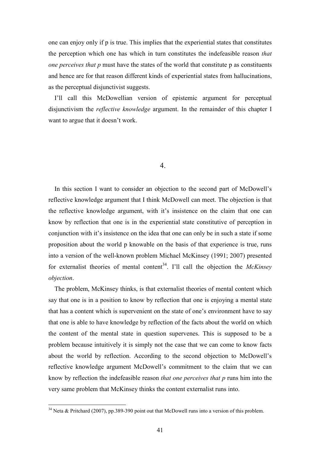one can enjoy only if p is true. This implies that the experiential states that constitutes the perception which one has which in turn constitutes the indefeasible reason *that one perceives that p* must have the states of the world that constitute p as constituents and hence are for that reason different kinds of experiential states from hallucinations, as the perceptual disjunctivist suggests.

I'll call this McDowellian version of epistemic argument for perceptual disjunctivism the *reflective knowledge* argument. In the remainder of this chapter I want to argue that it doesn't work.

#### 4.

In this section I want to consider an objection to the second part of McDowell's reflective knowledge argument that I think McDowell can meet. The objection is that the reflective knowledge argument, with it's insistence on the claim that one can know by reflection that one is in the experiential state constitutive of perception in conjunction with it's insistence on the idea that one can only be in such a state if some proposition about the world p knowable on the basis of that experience is true, runs into a version of the well-known problem Michael McKinsey (1991; 2007) presented for externalist theories of mental content<sup>34</sup>. I'll call the objection the *McKinsey objection*.

The problem, McKinsey thinks, is that externalist theories of mental content which say that one is in a position to know by reflection that one is enjoying a mental state that has a content which is supervenient on the state of one's environment have to say that one is able to have knowledge by reflection of the facts about the world on which the content of the mental state in question supervenes. This is supposed to be a problem because intuitively it is simply not the case that we can come to know facts about the world by reflection. According to the second objection to McDowell's reflective knowledge argument McDowell's commitment to the claim that we can know by reflection the indefeasible reason *that one perceives that p* runs him into the very same problem that McKinsey thinks the content externalist runs into.

 $34$  Neta & Pritchard (2007), pp.389-390 point out that McDowell runs into a version of this problem.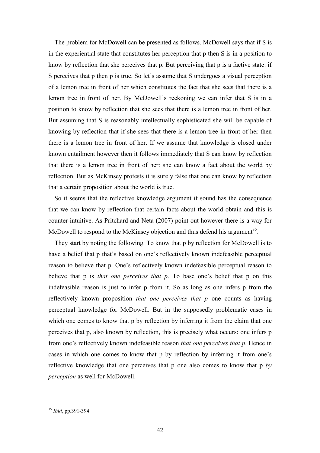The problem for McDowell can be presented as follows. McDowell says that if S is in the experiential state that constitutes her perception that p then S is in a position to know by reflection that she perceives that p. But perceiving that p is a factive state: if S perceives that p then p is true. So let's assume that S undergoes a visual perception of a lemon tree in front of her which constitutes the fact that she sees that there is a lemon tree in front of her. By McDowell's reckoning we can infer that S is in a position to know by reflection that she sees that there is a lemon tree in front of her. But assuming that S is reasonably intellectually sophisticated she will be capable of knowing by reflection that if she sees that there is a lemon tree in front of her then there is a lemon tree in front of her. If we assume that knowledge is closed under known entailment however then it follows immediately that S can know by reflection that there is a lemon tree in front of her: she can know a fact about the world by reflection. But as McKinsey protests it is surely false that one can know by reflection that a certain proposition about the world is true.

So it seems that the reflective knowledge argument if sound has the consequence that we can know by reflection that certain facts about the world obtain and this is counter-intuitive. As Pritchard and Neta (2007) point out however there is a way for McDowell to respond to the McKinsey objection and thus defend his argument<sup>35</sup>.

They start by noting the following. To know that p by reflection for McDowell is to have a belief that p that's based on one's reflectively known indefeasible perceptual reason to believe that p. One's reflectively known indefeasible perceptual reason to believe that p is *that one perceives that p*. To base one's belief that p on this indefeasible reason is just to infer p from it. So as long as one infers p from the reflectively known proposition *that one perceives that p* one counts as having perceptual knowledge for McDowell. But in the supposedly problematic cases in which one comes to know that p by reflection by inferring it from the claim that one perceives that p, also known by reflection, this is precisely what occurs: one infers p from one's reflectively known indefeasible reason *that one perceives that p*. Hence in cases in which one comes to know that p by reflection by inferring it from one's reflective knowledge that one perceives that p one also comes to know that p *by perception* as well for McDowell.

<sup>35</sup> *Ibid*, pp.391-394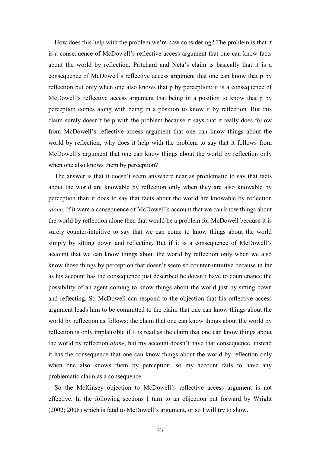How does this help with the problem we're now considering? The problem is that it is a consequence of McDowell's reflective access argument that one can know facts about the world by reflection. Pritchard and Neta's claim is basically that it is a consequence of McDowell's reflective access argument that one can know that p by reflection but only when one also knows that p by perception: it is a consequence of McDowell's reflective access argument that being in a position to know that p by perception comes along with being in a position to know it by reflection. But this claim surely doesn't help with the problem because it says that it really does follow from McDowell's reflective access argument that one can know things about the world by reflection; why does it help with the problem to say that it follows from McDowell's argument that one can know things about the world by reflection only when one also knows them by perception?

The answer is that it doesn't seem anywhere near as problematic to say that facts about the world are knowable by reflection only when they are also knowable by perception than it does to say that facts about the world are knowable by reflection *alone*. If it were a consequence of McDowell's account that we can know things about the world by reflection alone then that would be a problem for McDowell because it is surely counter-intuitive to say that we can come to know things about the world simply by sitting down and reflecting. But if it is a consequence of McDowell's account that we can know things about the world by reflection only when we also know those things by perception that doesn't seem so counter-intuitive because in far as his account has the consequence just described he doesn't have to countenance the possibility of an agent coming to know things about the world just by sitting down and reflecting. So McDowell can respond to the objection that his reflective access argument leads him to be committed to the claim that one can know things about the world by reflection as follows: the claim that one can know things about the world by reflection is only implausible if it is read as the claim that one can know things about the world by reflection *alone*, but my account doesn't have that consequence, instead it has the consequence that one can know things about the world by reflection only when one also knows them by perception, so my account fails to have any problematic claim as a consequence.

So the McKinsey objection to McDowell's reflective access argument is not effective. In the following sections I turn to an objection put forward by Wright (2002; 2008) which is fatal to McDowell's argument, or so I will try to show.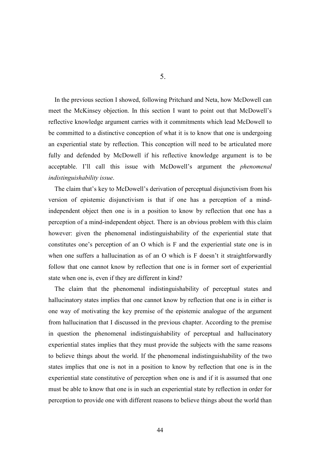In the previous section I showed, following Pritchard and Neta, how McDowell can meet the McKinsey objection. In this section I want to point out that McDowell's reflective knowledge argument carries with it commitments which lead McDowell to be committed to a distinctive conception of what it is to know that one is undergoing an experiential state by reflection. This conception will need to be articulated more fully and defended by McDowell if his reflective knowledge argument is to be acceptable. I'll call this issue with McDowell's argument the *phenomenal indistinguishability issue*.

The claim that's key to McDowell's derivation of perceptual disjunctivism from his version of epistemic disjunctivism is that if one has a perception of a mindindependent object then one is in a position to know by reflection that one has a perception of a mind-independent object. There is an obvious problem with this claim however: given the phenomenal indistinguishability of the experiential state that constitutes one's perception of an O which is F and the experiential state one is in when one suffers a hallucination as of an O which is F doesn't it straightforwardly follow that one cannot know by reflection that one is in former sort of experiential state when one is, even if they are different in kind?

The claim that the phenomenal indistinguishability of perceptual states and hallucinatory states implies that one cannot know by reflection that one is in either is one way of motivating the key premise of the epistemic analogue of the argument from hallucination that I discussed in the previous chapter. According to the premise in question the phenomenal indistinguishability of perceptual and hallucinatory experiential states implies that they must provide the subjects with the same reasons to believe things about the world. If the phenomenal indistinguishability of the two states implies that one is not in a position to know by reflection that one is in the experiential state constitutive of perception when one is and if it is assumed that one must be able to know that one is in such an experiential state by reflection in order for perception to provide one with different reasons to believe things about the world than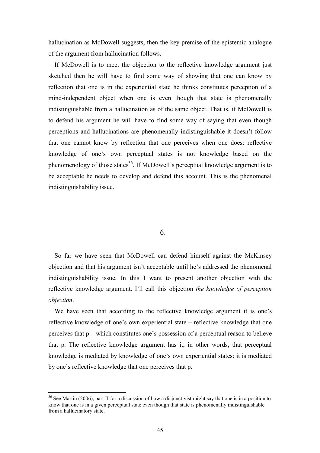hallucination as McDowell suggests, then the key premise of the epistemic analogue of the argument from hallucination follows.

If McDowell is to meet the objection to the reflective knowledge argument just sketched then he will have to find some way of showing that one can know by reflection that one is in the experiential state he thinks constitutes perception of a mind-independent object when one is even though that state is phenomenally indistinguishable from a hallucination as of the same object. That is, if McDowell is to defend his argument he will have to find some way of saying that even though perceptions and hallucinations are phenomenally indistinguishable it doesn't follow that one cannot know by reflection that one perceives when one does: reflective knowledge of one's own perceptual states is not knowledge based on the phenomenology of those states<sup>36</sup>. If McDowell's perceptual knowledge argument is to be acceptable he needs to develop and defend this account. This is the phenomenal indistinguishability issue.

### 6.

So far we have seen that McDowell can defend himself against the McKinsey objection and that his argument isn't acceptable until he's addressed the phenomenal indistinguishability issue. In this I want to present another objection with the reflective knowledge argument. I'll call this objection *the knowledge of perception objection*.

We have seen that according to the reflective knowledge argument it is one's reflective knowledge of one's own experiential state – reflective knowledge that one perceives that p – which constitutes one's possession of a perceptual reason to believe that p. The reflective knowledge argument has it, in other words, that perceptual knowledge is mediated by knowledge of one's own experiential states: it is mediated by one's reflective knowledge that one perceives that p.

<sup>&</sup>lt;sup>36</sup> See Martin (2006), part II for a discussion of how a disjunctivist might say that one is in a position to know that one is in a given perceptual state even though that state is phenomenally indistinguishable from a hallucinatory state.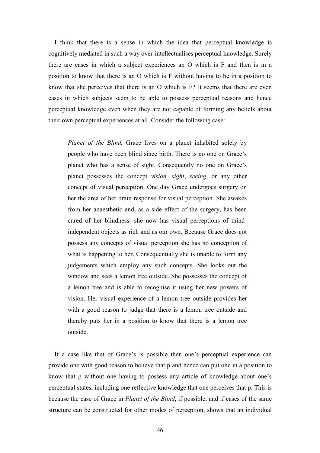I think that there is a sense in which the idea that perceptual knowledge is cognitively mediated in such a way over-intellectualises perceptual knowledge. Surely there are cases in which a subject experiences an O which is F and then is in a position to know that there is an O which is F without having to be in a position to know that she perceives that there is an O which is F? It seems that there are even cases in which subjects seem to be able to possess perceptual reasons and hence perceptual knowledge even when they are not capable of forming any beliefs about their own perceptual experiences at all. Consider the following case:

*Planet of the Blind.* Grace lives on a planet inhabited solely by people who have been blind since birth. There is no one on Grace's planet who has a sense of sight. Consequently no one on Grace's planet possesses the concept *vision, sight*, *seeing*, or any other concept of visual perception. One day Grace undergoes surgery on her the area of her brain response for visual perception. She awakes from her anaesthetic and, as a side effect of the surgery, has been cured of her blindness: she now has visual perceptions of mindindependent objects as rich and as our own. Because Grace does not possess any concepts of visual perception she has no conception of what is happening to her. Consequentially she is unable to form any judgements which employ any such concepts. She looks out the window and sees a lemon tree outside. She possesses the concept of a lemon tree and is able to recognise it using her new powers of vision. Her visual experience of a lemon tree outside provides her with a good reason to judge that there is a lemon tree outside and thereby puts her in a position to know that there is a lemon tree outside.

If a case like that of Grace's is possible then one's perceptual experience can provide one with good reason to believe that p and hence can put one in a position to know that p without one having to possess any article of knowledge about one's perceptual states, including one reflective knowledge that one perceives that p. This is because the case of Grace in *Planet of the Blind*, if possible, and if cases of the same structure can be constructed for other modes of perception, shows that an individual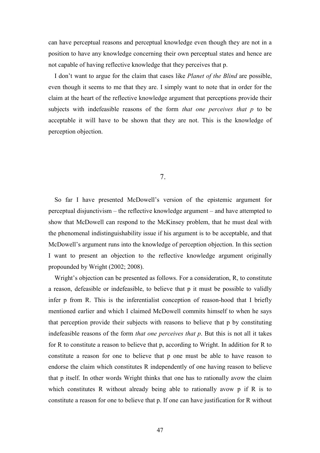can have perceptual reasons and perceptual knowledge even though they are not in a position to have any knowledge concerning their own perceptual states and hence are not capable of having reflective knowledge that they perceives that p.

I don't want to argue for the claim that cases like *Planet of the Blind* are possible, even though it seems to me that they are. I simply want to note that in order for the claim at the heart of the reflective knowledge argument that perceptions provide their subjects with indefeasible reasons of the form *that one perceives that p* to be acceptable it will have to be shown that they are not. This is the knowledge of perception objection.

7.

So far I have presented McDowell's version of the epistemic argument for perceptual disjunctivism – the reflective knowledge argument – and have attempted to show that McDowell can respond to the McKinsey problem, that he must deal with the phenomenal indistinguishability issue if his argument is to be acceptable, and that McDowell's argument runs into the knowledge of perception objection. In this section I want to present an objection to the reflective knowledge argument originally propounded by Wright (2002; 2008).

Wright's objection can be presented as follows. For a consideration, R, to constitute a reason, defeasible or indefeasible, to believe that p it must be possible to validly infer p from R. This is the inferentialist conception of reason-hood that I briefly mentioned earlier and which I claimed McDowell commits himself to when he says that perception provide their subjects with reasons to believe that p by constituting indefeasible reasons of the form *that one perceives that p*. But this is not all it takes for R to constitute a reason to believe that p, according to Wright. In addition for R to constitute a reason for one to believe that p one must be able to have reason to endorse the claim which constitutes R independently of one having reason to believe that p itself. In other words Wright thinks that one has to rationally avow the claim which constitutes R without already being able to rationally avow p if R is to constitute a reason for one to believe that p. If one can have justification for R without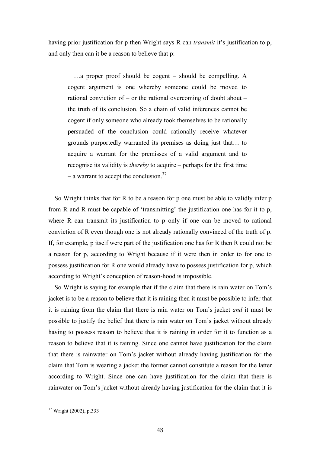having prior justification for p then Wright says R can *transmit* it's justification to p, and only then can it be a reason to believe that p:

…a proper proof should be cogent – should be compelling. A cogent argument is one whereby someone could be moved to rational conviction of – or the rational overcoming of doubt about – the truth of its conclusion. So a chain of valid inferences cannot be cogent if only someone who already took themselves to be rationally persuaded of the conclusion could rationally receive whatever grounds purportedly warranted its premises as doing just that… to acquire a warrant for the premisses of a valid argument and to recognise its validity is *thereby* to acquire – perhaps for the first time – a warrant to accept the conclusion.<sup>37</sup>

So Wright thinks that for R to be a reason for p one must be able to validly infer p from R and R must be capable of 'transmitting' the justification one has for it to p, where R can transmit its justification to p only if one can be moved to rational conviction of R even though one is not already rationally convinced of the truth of p. If, for example, p itself were part of the justification one has for R then R could not be a reason for p, according to Wright because if it were then in order to for one to possess justification for R one would already have to possess justification for p, which according to Wright's conception of reason-hood is impossible.

So Wright is saying for example that if the claim that there is rain water on Tom's jacket is to be a reason to believe that it is raining then it must be possible to infer that it is raining from the claim that there is rain water on Tom's jacket *and* it must be possible to justify the belief that there is rain water on Tom's jacket without already having to possess reason to believe that it is raining in order for it to function as a reason to believe that it is raining. Since one cannot have justification for the claim that there is rainwater on Tom's jacket without already having justification for the claim that Tom is wearing a jacket the former cannot constitute a reason for the latter according to Wright. Since one can have justification for the claim that there is rainwater on Tom's jacket without already having justification for the claim that it is

<sup>&</sup>lt;sup>37</sup> Wright (2002), p.333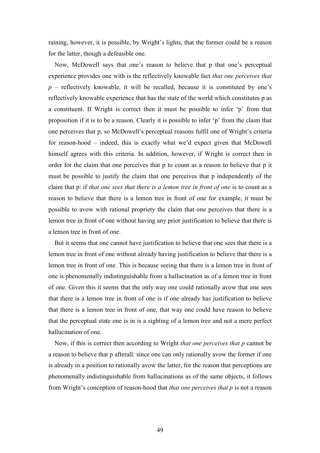raining, however, it is possible, by Wright's lights, that the former could be a reason for the latter, though a defeasible one.

Now, McDowell says that one's reason to believe that p that one's perceptual experience provides one with is the reflectively knowable fact *that one perceives that*   $p$  – reflectively knowable, it will be recalled, because it is constituted by one's reflectively knowable experience that has the state of the world which constitutes p as a constituent. If Wright is correct then it must be possible to infer 'p' from that proposition if it is to be a reason. Clearly it is possible to infer 'p' from the claim that one perceives that p, so McDowell's perceptual reasons fulfil one of Wright's criteria for reason-hood – indeed, this is exactly what we'd expect given that McDowell himself agrees with this criteria. In addition, however, if Wright is correct then in order for the claim that one perceives that p to count as a reason to believe that p it must be possible to justify the claim that one perceives that p independently of the claim that p: if *that one sees that there is a lemon tree in front of one* is to count as a reason to believe that there is a lemon tree in front of one for example, it must be possible to avow with rational propriety the claim that one perceives that there is a lemon tree in front of one without having any prior justification to believe that there is a lemon tree in front of one.

But it seems that one cannot have justification to believe that one sees that there is a lemon tree in front of one without already having justification to believe that there is a lemon tree in front of one. This is because seeing that there is a lemon tree in front of one is phenomenally indistinguishable from a hallucination as of a lemon tree in front of one. Given this it seems that the only way one could rationally avow that one sees that there is a lemon tree in front of one is if one already has justification to believe that there is a lemon tree in front of one, that way one could have reason to believe that the perceptual state one is in is a sighting of a lemon tree and not a mere perfect hallucination of one.

Now, if this is correct then according to Wright *that one perceives that p* cannot be a reason to believe that p afterall: since one can only rationally avow the former if one is already in a position to rationally avow the latter, for the reason that perceptions are phenomenally indistinguishable from hallucinations as of the same objects, it follows from Wright's conception of reason-hood that *that one perceives that p* is not a reason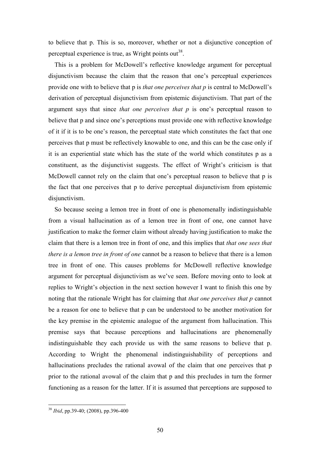to believe that p. This is so, moreover, whether or not a disjunctive conception of perceptual experience is true, as Wright points out<sup>38</sup>.

This is a problem for McDowell's reflective knowledge argument for perceptual disjunctivism because the claim that the reason that one's perceptual experiences provide one with to believe that p is *that one perceives that p* is central to McDowell's derivation of perceptual disjunctivism from epistemic disjunctivism. That part of the argument says that since *that one perceives that p* is one's perceptual reason to believe that p and since one's perceptions must provide one with reflective knowledge of it if it is to be one's reason, the perceptual state which constitutes the fact that one perceives that p must be reflectively knowable to one, and this can be the case only if it is an experiential state which has the state of the world which constitutes p as a constituent, as the disjunctivist suggests. The effect of Wright's criticism is that McDowell cannot rely on the claim that one's perceptual reason to believe that p is the fact that one perceives that p to derive perceptual disjunctivism from epistemic disjunctivism.

So because seeing a lemon tree in front of one is phenomenally indistinguishable from a visual hallucination as of a lemon tree in front of one, one cannot have justification to make the former claim without already having justification to make the claim that there is a lemon tree in front of one, and this implies that *that one sees that there is a lemon tree in front of one* cannot be a reason to believe that there is a lemon tree in front of one. This causes problems for McDowell reflective knowledge argument for perceptual disjunctivism as we've seen. Before moving onto to look at replies to Wright's objection in the next section however I want to finish this one by noting that the rationale Wright has for claiming that *that one perceives that p* cannot be a reason for one to believe that p can be understood to be another motivation for the key premise in the epistemic analogue of the argument from hallucination. This premise says that because perceptions and hallucinations are phenomenally indistinguishable they each provide us with the same reasons to believe that p. According to Wright the phenomenal indistinguishability of perceptions and hallucinations precludes the rational avowal of the claim that one perceives that p prior to the rational avowal of the claim that p and this precludes in turn the former functioning as a reason for the latter. If it is assumed that perceptions are supposed to

<sup>38</sup> *Ibid*, pp.39-40; (2008), pp.396-400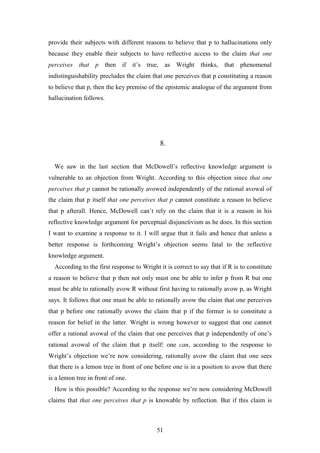provide their subjects with different reasons to believe that p to hallucinations only because they enable their subjects to have reflective access to the claim *that one perceives that p* then if it's true, as Wright thinks, that phenomenal indistinguishability precludes the claim that one perceives that p constituting a reason to believe that p, then the key premise of the epistemic analogue of the argument from hallucination follows.

#### 8.

We saw in the last section that McDowell's reflective knowledge argument is vulnerable to an objection from Wright. According to this objection since *that one perceives that p* cannot be rationally avowed independently of the rational avowal of the claim that p itself *that one perceives that p* cannot constitute a reason to believe that p afterall. Hence, McDowell can't rely on the claim that it is a reason in his reflective knowledge argument for perceptual disjunctivism as he does. In this section I want to examine a response to it. I will argue that it fails and hence that unless a better response is forthcoming Wright's objection seems fatal to the reflective knowledge argument.

According to the first response to Wright it is correct to say that if R is to constitute a reason to believe that p then not only must one be able to infer p from R but one must be able to rationally avow R without first having to rationally avow p, as Wright says. It follows that one must be able to rationally avow the claim that one perceives that p before one rationally avows the claim that p if the former is to constitute a reason for belief in the latter. Wright is wrong however to suggest that one cannot offer a rational avowal of the claim that one perceives that p independently of one's rational avowal of the claim that p itself: one *can*, according to the response to Wright's objection we're now considering, rationally avow the claim that one sees that there is a lemon tree in front of one before one is in a position to avow that there is a lemon tree in front of one.

How is this possible? According to the response we're now considering McDowell claims that *that one perceives that p* is knowable by reflection. But if this claim is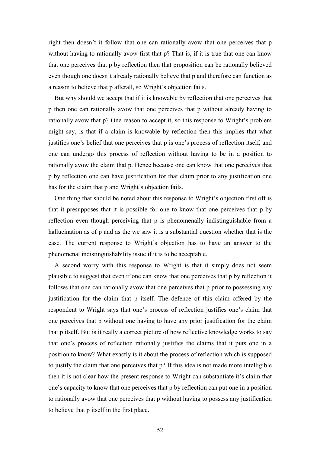right then doesn't it follow that one can rationally avow that one perceives that p without having to rationally avow first that p? That is, if it is true that one can know that one perceives that p by reflection then that proposition can be rationally believed even though one doesn't already rationally believe that p and therefore can function as a reason to believe that p afterall, so Wright's objection fails.

But why should we accept that if it is knowable by reflection that one perceives that p then one can rationally avow that one perceives that p without already having to rationally avow that p? One reason to accept it, so this response to Wright's problem might say, is that if a claim is knowable by reflection then this implies that what justifies one's belief that one perceives that p is one's process of reflection itself, and one can undergo this process of reflection without having to be in a position to rationally avow the claim that p. Hence because one can know that one perceives that p by reflection one can have justification for that claim prior to any justification one has for the claim that p and Wright's objection fails.

One thing that should be noted about this response to Wright's objection first off is that it presupposes that it is possible for one to know that one perceives that p by reflection even though perceiving that p is phenomenally indistinguishable from a hallucination as of p and as the we saw it is a substantial question whether that is the case. The current response to Wright's objection has to have an answer to the phenomenal indistinguishability issue if it is to be acceptable.

A second worry with this response to Wright is that it simply does not seem plausible to suggest that even if one can know that one perceives that p by reflection it follows that one can rationally avow that one perceives that p prior to possessing any justification for the claim that p itself. The defence of this claim offered by the respondent to Wright says that one's process of reflection justifies one's claim that one perceives that p without one having to have any prior justification for the claim that p itself. But is it really a correct picture of how reflective knowledge works to say that one's process of reflection rationally justifies the claims that it puts one in a position to know? What exactly is it about the process of reflection which is supposed to justify the claim that one perceives that p? If this idea is not made more intelligible then it is not clear how the present response to Wright can substantiate it's claim that one's capacity to know that one perceives that p by reflection can put one in a position to rationally avow that one perceives that p without having to possess any justification to believe that p itself in the first place.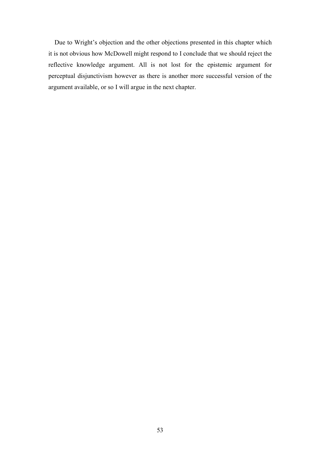Due to Wright's objection and the other objections presented in this chapter which it is not obvious how McDowell might respond to I conclude that we should reject the reflective knowledge argument. All is not lost for the epistemic argument for perceptual disjunctivism however as there is another more successful version of the argument available, or so I will argue in the next chapter.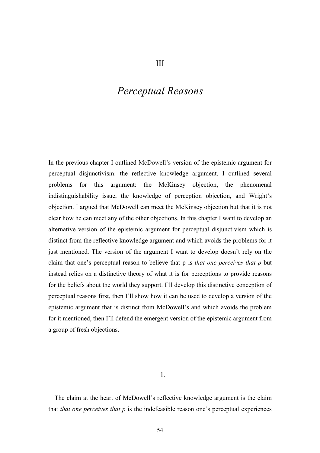# *Perceptual Reasons*

In the previous chapter I outlined McDowell's version of the epistemic argument for perceptual disjunctivism: the reflective knowledge argument. I outlined several problems for this argument: the McKinsey objection, the phenomenal indistinguishability issue, the knowledge of perception objection, and Wright's objection. I argued that McDowell can meet the McKinsey objection but that it is not clear how he can meet any of the other objections. In this chapter I want to develop an alternative version of the epistemic argument for perceptual disjunctivism which is distinct from the reflective knowledge argument and which avoids the problems for it just mentioned. The version of the argument I want to develop doesn't rely on the claim that one's perceptual reason to believe that p is *that one perceives that p* but instead relies on a distinctive theory of what it is for perceptions to provide reasons for the beliefs about the world they support. I'll develop this distinctive conception of perceptual reasons first, then I'll show how it can be used to develop a version of the epistemic argument that is distinct from McDowell's and which avoids the problem for it mentioned, then I'll defend the emergent version of the epistemic argument from a group of fresh objections.

The claim at the heart of McDowell's reflective knowledge argument is the claim that *that one perceives that p* is the indefeasible reason one's perceptual experiences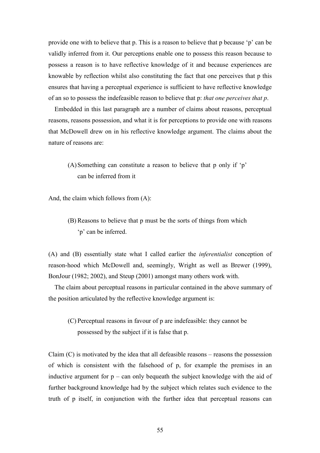provide one with to believe that p. This is a reason to believe that p because 'p' can be validly inferred from it. Our perceptions enable one to possess this reason because to possess a reason is to have reflective knowledge of it and because experiences are knowable by reflection whilst also constituting the fact that one perceives that p this ensures that having a perceptual experience is sufficient to have reflective knowledge of an so to possess the indefeasible reason to believe that p: *that one perceives that p*.

Embedded in this last paragraph are a number of claims about reasons, perceptual reasons, reasons possession, and what it is for perceptions to provide one with reasons that McDowell drew on in his reflective knowledge argument. The claims about the nature of reasons are:

(A)Something can constitute a reason to believe that p only if 'p' can be inferred from it

And, the claim which follows from (A):

(B) Reasons to believe that p must be the sorts of things from which 'p' can be inferred.

(A) and (B) essentially state what I called earlier the *inferentialist* conception of reason-hood which McDowell and, seemingly, Wright as well as Brewer (1999), BonJour (1982; 2002), and Steup (2001) amongst many others work with.

The claim about perceptual reasons in particular contained in the above summary of the position articulated by the reflective knowledge argument is:

(C) Perceptual reasons in favour of p are indefeasible: they cannot be possessed by the subject if it is false that p.

Claim (C) is motivated by the idea that all defeasible reasons – reasons the possession of which is consistent with the falsehood of p, for example the premises in an inductive argument for  $p - can$  only bequeath the subject knowledge with the aid of further background knowledge had by the subject which relates such evidence to the truth of p itself, in conjunction with the further idea that perceptual reasons can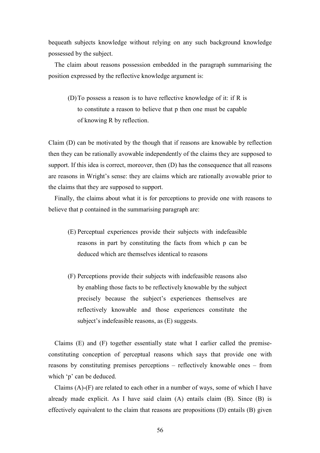bequeath subjects knowledge without relying on any such background knowledge possessed by the subject.

The claim about reasons possession embedded in the paragraph summarising the position expressed by the reflective knowledge argument is:

(D)To possess a reason is to have reflective knowledge of it: if R is to constitute a reason to believe that p then one must be capable of knowing R by reflection.

Claim (D) can be motivated by the though that if reasons are knowable by reflection then they can be rationally avowable independently of the claims they are supposed to support. If this idea is correct, moreover, then (D) has the consequence that all reasons are reasons in Wright's sense: they are claims which are rationally avowable prior to the claims that they are supposed to support.

Finally, the claims about what it is for perceptions to provide one with reasons to believe that p contained in the summarising paragraph are:

- (E) Perceptual experiences provide their subjects with indefeasible reasons in part by constituting the facts from which p can be deduced which are themselves identical to reasons
- (F) Perceptions provide their subjects with indefeasible reasons also by enabling those facts to be reflectively knowable by the subject precisely because the subject's experiences themselves are reflectively knowable and those experiences constitute the subject's indefeasible reasons, as (E) suggests.

Claims (E) and (F) together essentially state what I earlier called the premiseconstituting conception of perceptual reasons which says that provide one with reasons by constituting premises perceptions – reflectively knowable ones – from which 'p' can be deduced.

Claims (A)-(F) are related to each other in a number of ways, some of which I have already made explicit. As I have said claim  $(A)$  entails claim  $(B)$ . Since  $(B)$  is effectively equivalent to the claim that reasons are propositions (D) entails (B) given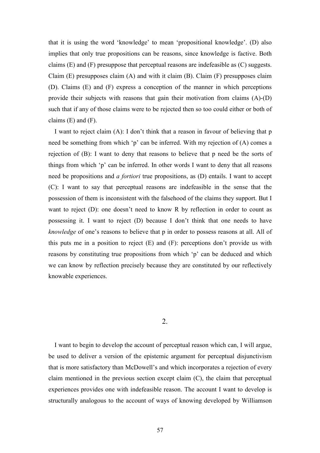that it is using the word 'knowledge' to mean 'propositional knowledge'. (D) also implies that only true propositions can be reasons, since knowledge is factive. Both claims (E) and (F) presuppose that perceptual reasons are indefeasible as (C) suggests. Claim (E) presupposes claim (A) and with it claim (B). Claim (F) presupposes claim (D). Claims (E) and (F) express a conception of the manner in which perceptions provide their subjects with reasons that gain their motivation from claims (A)-(D) such that if any of those claims were to be rejected then so too could either or both of claims  $(E)$  and  $(F)$ .

I want to reject claim (A): I don't think that a reason in favour of believing that p need be something from which 'p' can be inferred. With my rejection of (A) comes a rejection of (B): I want to deny that reasons to believe that p need be the sorts of things from which 'p' can be inferred. In other words I want to deny that all reasons need be propositions and *a fortiori* true propositions, as (D) entails. I want to accept (C): I want to say that perceptual reasons are indefeasible in the sense that the possession of them is inconsistent with the falsehood of the claims they support. But I want to reject (D): one doesn't need to know R by reflection in order to count as possessing it. I want to reject (D) because I don't think that one needs to have *knowledge* of one's reasons to believe that p in order to possess reasons at all. All of this puts me in a position to reject (E) and (F): perceptions don't provide us with reasons by constituting true propositions from which 'p' can be deduced and which we can know by reflection precisely because they are constituted by our reflectively knowable experiences.

#### 2.

I want to begin to develop the account of perceptual reason which can, I will argue, be used to deliver a version of the epistemic argument for perceptual disjunctivism that is more satisfactory than McDowell's and which incorporates a rejection of every claim mentioned in the previous section except claim (C), the claim that perceptual experiences provides one with indefeasible reason. The account I want to develop is structurally analogous to the account of ways of knowing developed by Williamson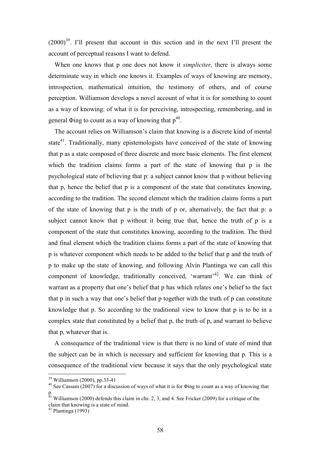$(2000)^{39}$ . I'll present that account in this section and in the next I'll present the account of perceptual reasons I want to defend.

When one knows that p one does not know it *simpliciter*, there is always some determinate way in which one knows it. Examples of ways of knowing are memory, introspection, mathematical intuition, the testimony of others, and of course perception. Williamson develops a novel account of what it is for something to count as a way of knowing: of what it is for perceiving, introspecting, remembering, and in general  $\Phi$ ing to count as a way of knowing that  $p^{40}$ .

The account relies on Williamson's claim that knowing is a discrete kind of mental state $^{41}$ . Traditionally, many epistemologists have conceived of the state of knowing that p as a state composed of three discrete and more basic elements. The first element which the tradition claims forms a part of the state of knowing that p is the psychological state of believing that p: a subject cannot know that p without believing that p, hence the belief that p is a component of the state that constitutes knowing, according to the tradition. The second element which the tradition claims forms a part of the state of knowing that p is the truth of p or, alternatively, the fact that p: a subject cannot know that p without it being true that, hence the truth of p is a component of the state that constitutes knowing, according to the tradition. The third and final element which the tradition claims forms a part of the state of knowing that p is whatever component which needs to be added to the belief that p and the truth of p to make up the state of knowing, and following Alvin Plantinga we can call this component of knowledge, traditionally conceived, 'warrant'<sup>42</sup>. We can think of warrant as a property that one's belief that p has which relates one's belief to the fact that p in such a way that one's belief that p together with the truth of p can constitute knowledge that p. So according to the traditional view to know that p is to be in a complex state that constituted by a belief that p, the truth of p, and warrant to believe that p, whatever that is.

A consequence of the traditional view is that there is no kind of state of mind that the subject can be in which is necessary and sufficient for knowing that p. This is a consequence of the traditional view because it says that the only psychological state

<sup>39</sup> Williamson (2000), pp.33-41

<sup>&</sup>lt;sup>40</sup> See Cassam (2007) for a discussion of ways of what it is for  $\Phi$ ing to count as a way of knowing that p.

 $41$  Williamson (2000) defends this claim in chs. 2, 3, and 4. See Fricker (2009) for a critique of the claim that knowing is a state of mind.

 $42$  Plantinga (1993)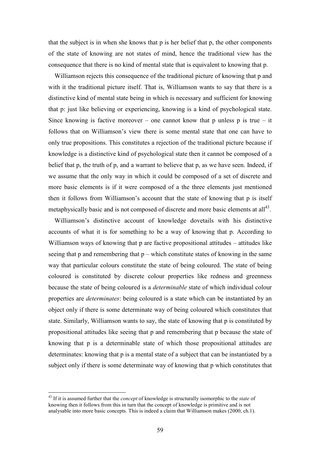that the subject is in when she knows that p is her belief that p, the other components of the state of knowing are not states of mind, hence the traditional view has the consequence that there is no kind of mental state that is equivalent to knowing that p.

Williamson rejects this consequence of the traditional picture of knowing that p and with it the traditional picture itself. That is, Williamson wants to say that there is a distinctive kind of mental state being in which is necessary and sufficient for knowing that p: just like believing or experiencing, knowing is a kind of psychological state. Since knowing is factive moreover – one cannot know that p unless p is true – it follows that on Williamson's view there is some mental state that one can have to only true propositions. This constitutes a rejection of the traditional picture because if knowledge is a distinctive kind of psychological state then it cannot be composed of a belief that p, the truth of p, and a warrant to believe that p, as we have seen. Indeed, if we assume that the only way in which it could be composed of a set of discrete and more basic elements is if it were composed of a the three elements just mentioned then it follows from Williamson's account that the state of knowing that p is itself metaphysically basic and is not composed of discrete and more basic elements at all<sup>43</sup>.

Williamson's distinctive account of knowledge dovetails with his distinctive accounts of what it is for something to be a way of knowing that p. According to Williamson ways of knowing that p are factive propositional attitudes – attitudes like seeing that p and remembering that  $p$  – which constitute states of knowing in the same way that particular colours constitute the state of being coloured. The state of being coloured is constituted by discrete colour properties like redness and greenness because the state of being coloured is a *determinable* state of which individual colour properties are *determinates*: being coloured is a state which can be instantiated by an object only if there is some determinate way of being coloured which constitutes that state. Similarly, Williamson wants to say, the state of knowing that p is constituted by propositional attitudes like seeing that p and remembering that p because the state of knowing that p is a determinable state of which those propositional attitudes are determinates: knowing that p is a mental state of a subject that can be instantiated by a subject only if there is some determinate way of knowing that p which constitutes that

<sup>43</sup> If it is assumed further that the *concept* of knowledge is structurally isomorphic to the *state* of knowing then it follows from this in turn that the concept of knowledge is primitive and is not analysable into more basic concepts. This is indeed a claim that Williamson makes (2000, ch.1).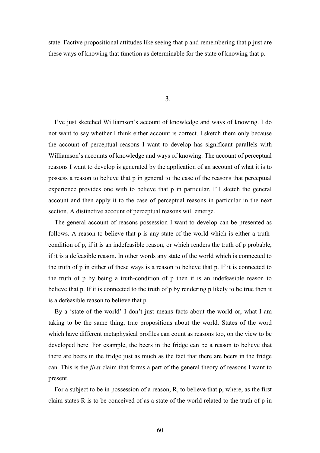state. Factive propositional attitudes like seeing that p and remembering that p just are these ways of knowing that function as determinable for the state of knowing that p.

## 3.

I've just sketched Williamson's account of knowledge and ways of knowing. I do not want to say whether I think either account is correct. I sketch them only because the account of perceptual reasons I want to develop has significant parallels with Williamson's accounts of knowledge and ways of knowing. The account of perceptual reasons I want to develop is generated by the application of an account of what it is to possess a reason to believe that p in general to the case of the reasons that perceptual experience provides one with to believe that p in particular. I'll sketch the general account and then apply it to the case of perceptual reasons in particular in the next section. A distinctive account of perceptual reasons will emerge.

The general account of reasons possession I want to develop can be presented as follows. A reason to believe that p is any state of the world which is either a truthcondition of p, if it is an indefeasible reason, or which renders the truth of p probable, if it is a defeasible reason. In other words any state of the world which is connected to the truth of p in either of these ways is a reason to believe that p. If it is connected to the truth of p by being a truth-condition of p then it is an indefeasible reason to believe that p. If it is connected to the truth of p by rendering p likely to be true then it is a defeasible reason to believe that p.

By a 'state of the world' I don't just means facts about the world or, what I am taking to be the same thing, true propositions about the world. States of the word which have different metaphysical profiles can count as reasons too, on the view to be developed here. For example, the beers in the fridge can be a reason to believe that there are beers in the fridge just as much as the fact that there are beers in the fridge can. This is the *first* claim that forms a part of the general theory of reasons I want to present.

For a subject to be in possession of a reason, R, to believe that p, where, as the first claim states R is to be conceived of as a state of the world related to the truth of p in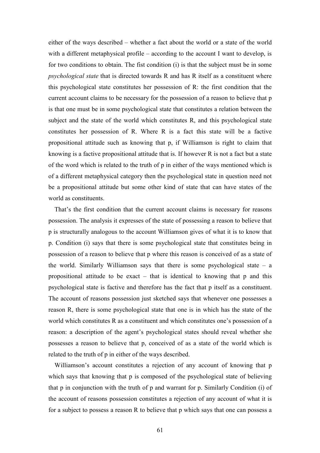either of the ways described – whether a fact about the world or a state of the world with a different metaphysical profile – according to the account I want to develop, is for two conditions to obtain. The fist condition (i) is that the subject must be in some *psychological state* that is directed towards R and has R itself as a constituent where this psychological state constitutes her possession of R: the first condition that the current account claims to be necessary for the possession of a reason to believe that p is that one must be in some psychological state that constitutes a relation between the subject and the state of the world which constitutes R, and this psychological state constitutes her possession of R. Where R is a fact this state will be a factive propositional attitude such as knowing that p, if Williamson is right to claim that knowing is a factive propositional attitude that is. If however R is not a fact but a state of the word which is related to the truth of p in either of the ways mentioned which is of a different metaphysical category then the psychological state in question need not be a propositional attitude but some other kind of state that can have states of the world as constituents.

That's the first condition that the current account claims is necessary for reasons possession. The analysis it expresses of the state of possessing a reason to believe that p is structurally analogous to the account Williamson gives of what it is to know that p. Condition (i) says that there is some psychological state that constitutes being in possession of a reason to believe that p where this reason is conceived of as a state of the world. Similarly Williamson says that there is some psychological state  $-$  a propositional attitude to be exact – that is identical to knowing that p and this psychological state is factive and therefore has the fact that p itself as a constituent. The account of reasons possession just sketched says that whenever one possesses a reason R, there is some psychological state that one is in which has the state of the world which constitutes R as a constituent and which constitutes one's possession of a reason: a description of the agent's psychological states should reveal whether she possesses a reason to believe that p, conceived of as a state of the world which is related to the truth of p in either of the ways described.

Williamson's account constitutes a rejection of any account of knowing that p which says that knowing that p is composed of the psychological state of believing that p in conjunction with the truth of p and warrant for p. Similarly Condition (i) of the account of reasons possession constitutes a rejection of any account of what it is for a subject to possess a reason R to believe that p which says that one can possess a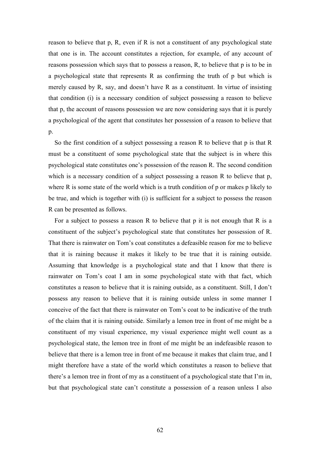reason to believe that p, R, even if R is not a constituent of any psychological state that one is in. The account constitutes a rejection, for example, of any account of reasons possession which says that to possess a reason, R, to believe that p is to be in a psychological state that represents R as confirming the truth of p but which is merely caused by R, say, and doesn't have R as a constituent. In virtue of insisting that condition (i) is a necessary condition of subject possessing a reason to believe that p, the account of reasons possession we are now considering says that it is purely a psychological of the agent that constitutes her possession of a reason to believe that p.

So the first condition of a subject possessing a reason R to believe that p is that R must be a constituent of some psychological state that the subject is in where this psychological state constitutes one's possession of the reason R. The second condition which is a necessary condition of a subject possessing a reason R to believe that p, where R is some state of the world which is a truth condition of p or makes p likely to be true, and which is together with (i) is sufficient for a subject to possess the reason R can be presented as follows.

For a subject to possess a reason R to believe that p it is not enough that R is a constituent of the subject's psychological state that constitutes her possession of R. That there is rainwater on Tom's coat constitutes a defeasible reason for me to believe that it is raining because it makes it likely to be true that it is raining outside. Assuming that knowledge is a psychological state and that I know that there is rainwater on Tom's coat I am in some psychological state with that fact, which constitutes a reason to believe that it is raining outside, as a constituent. Still, I don't possess any reason to believe that it is raining outside unless in some manner I conceive of the fact that there is rainwater on Tom's coat to be indicative of the truth of the claim that it is raining outside. Similarly a lemon tree in front of me might be a constituent of my visual experience, my visual experience might well count as a psychological state, the lemon tree in front of me might be an indefeasible reason to believe that there is a lemon tree in front of me because it makes that claim true, and I might therefore have a state of the world which constitutes a reason to believe that there's a lemon tree in front of my as a constituent of a psychological state that I'm in, but that psychological state can't constitute a possession of a reason unless I also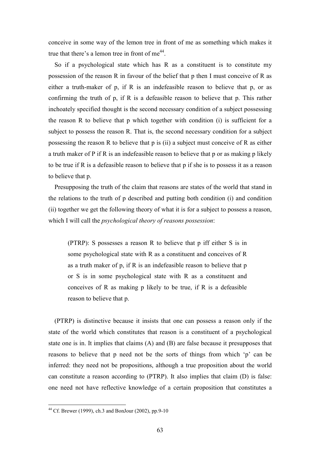conceive in some way of the lemon tree in front of me as something which makes it true that there's a lemon tree in front of me<sup>44</sup>.

So if a psychological state which has R as a constituent is to constitute my possession of the reason R in favour of the belief that p then I must conceive of R as either a truth-maker of p, if R is an indefeasible reason to believe that p, or as confirming the truth of p, if R is a defeasible reason to believe that p. This rather inchoately specified thought is the second necessary condition of a subject possessing the reason R to believe that p which together with condition (i) is sufficient for a subject to possess the reason R. That is, the second necessary condition for a subject possessing the reason R to believe that p is (ii) a subject must conceive of R as either a truth maker of P if R is an indefeasible reason to believe that p or as making p likely to be true if R is a defeasible reason to believe that p if she is to possess it as a reason to believe that p.

Presupposing the truth of the claim that reasons are states of the world that stand in the relations to the truth of p described and putting both condition (i) and condition (ii) together we get the following theory of what it is for a subject to possess a reason, which I will call the *psychological theory of reasons possession*:

(PTRP): S possesses a reason R to believe that p iff either S is in some psychological state with R as a constituent and conceives of R as a truth maker of p, if R is an indefeasible reason to believe that p or S is in some psychological state with R as a constituent and conceives of R as making p likely to be true, if R is a defeasible reason to believe that p.

(PTRP) is distinctive because it insists that one can possess a reason only if the state of the world which constitutes that reason is a constituent of a psychological state one is in. It implies that claims (A) and (B) are false because it presupposes that reasons to believe that p need not be the sorts of things from which 'p' can be inferred: they need not be propositions, although a true proposition about the world can constitute a reason according to (PTRP). It also implies that claim (D) is false: one need not have reflective knowledge of a certain proposition that constitutes a

<sup>&</sup>lt;sup>44</sup> Cf. Brewer (1999), ch.3 and BonJour (2002), pp.9-10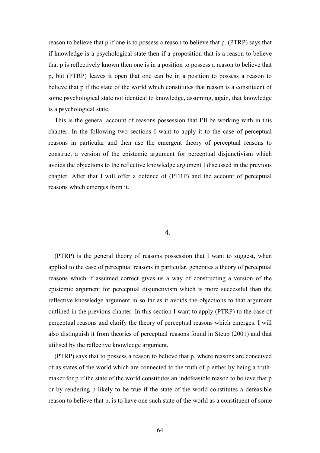reason to believe that p if one is to possess a reason to believe that p. (PTRP) says that if knowledge is a psychological state then if a proposition that is a reason to believe that p is reflectively known then one is in a position to possess a reason to believe that p, but (PTRP) leaves it open that one can be in a position to possess a reason to believe that p if the state of the world which constitutes that reason is a constituent of some psychological state not identical to knowledge, assuming, again, that knowledge is a psychological state.

This is the general account of reasons possession that I'll be working with in this chapter. In the following two sections I want to apply it to the case of perceptual reasons in particular and then use the emergent theory of perceptual reasons to construct a version of the epistemic argument for perceptual disjunctivism which avoids the objections to the reflective knowledge argument I discussed in the previous chapter. After that I will offer a defence of (PTRP) and the account of perceptual reasons which emerges from it.

#### 4.

(PTRP) is the general theory of reasons possession that I want to suggest, when applied to the case of perceptual reasons in particular, generates a theory of perceptual reasons which if assumed correct gives us a way of constructing a version of the epistemic argument for perceptual disjunctivism which is more successful than the reflective knowledge argument in so far as it avoids the objections to that argument outlined in the previous chapter. In this section I want to apply (PTRP) to the case of perceptual reasons and clarify the theory of perceptual reasons which emerges. I will also distinguish it from theories of perceptual reasons found in Steup (2001) and that utilised by the reflective knowledge argument.

(PTRP) says that to possess a reason to believe that p, where reasons are conceived of as states of the world which are connected to the truth of p either by being a truthmaker for p if the state of the world constitutes an indefeasible reason to believe that p or by rendering p likely to be true if the state of the world constitutes a defeasible reason to believe that p, is to have one such state of the world as a constituent of some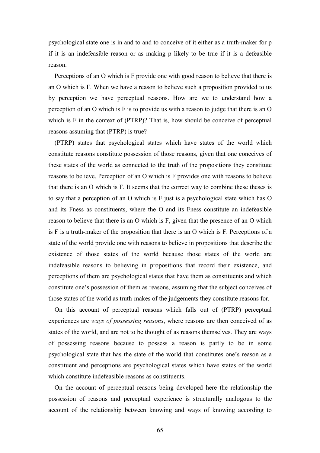psychological state one is in and to and to conceive of it either as a truth-maker for p if it is an indefeasible reason or as making p likely to be true if it is a defeasible reason.

Perceptions of an O which is F provide one with good reason to believe that there is an O which is F. When we have a reason to believe such a proposition provided to us by perception we have perceptual reasons. How are we to understand how a perception of an O which is F is to provide us with a reason to judge that there is an O which is F in the context of (PTRP)? That is, how should be conceive of perceptual reasons assuming that (PTRP) is true?

(PTRP) states that psychological states which have states of the world which constitute reasons constitute possession of those reasons, given that one conceives of these states of the world as connected to the truth of the propositions they constitute reasons to believe. Perception of an O which is F provides one with reasons to believe that there is an O which is F. It seems that the correct way to combine these theses is to say that a perception of an O which is F just is a psychological state which has O and its Fness as constituents, where the O and its Fness constitute an indefeasible reason to believe that there is an O which is F, given that the presence of an O which is F is a truth-maker of the proposition that there is an O which is F. Perceptions of a state of the world provide one with reasons to believe in propositions that describe the existence of those states of the world because those states of the world are indefeasible reasons to believing in propositions that record their existence, and perceptions of them are psychological states that have them as constituents and which constitute one's possession of them as reasons, assuming that the subject conceives of those states of the world as truth-makes of the judgements they constitute reasons for.

On this account of perceptual reasons which falls out of (PTRP) perceptual experiences are *ways of possessing reasons*, where reasons are then conceived of as states of the world, and are not to be thought of as reasons themselves. They are ways of possessing reasons because to possess a reason is partly to be in some psychological state that has the state of the world that constitutes one's reason as a constituent and perceptions are psychological states which have states of the world which constitute indefeasible reasons as constituents.

On the account of perceptual reasons being developed here the relationship the possession of reasons and perceptual experience is structurally analogous to the account of the relationship between knowing and ways of knowing according to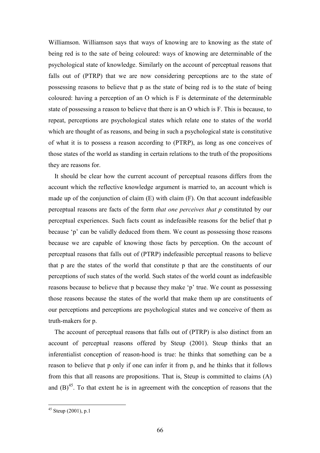Williamson. Williamson says that ways of knowing are to knowing as the state of being red is to the sate of being coloured: ways of knowing are determinable of the psychological state of knowledge. Similarly on the account of perceptual reasons that falls out of (PTRP) that we are now considering perceptions are to the state of possessing reasons to believe that p as the state of being red is to the state of being coloured: having a perception of an O which is F is determinate of the determinable state of possessing a reason to believe that there is an O which is F. This is because, to repeat, perceptions are psychological states which relate one to states of the world which are thought of as reasons, and being in such a psychological state is constitutive of what it is to possess a reason according to (PTRP), as long as one conceives of those states of the world as standing in certain relations to the truth of the propositions they are reasons for.

It should be clear how the current account of perceptual reasons differs from the account which the reflective knowledge argument is married to, an account which is made up of the conjunction of claim (E) with claim (F). On that account indefeasible perceptual reasons are facts of the form *that one perceives that p* constituted by our perceptual experiences. Such facts count as indefeasible reasons for the belief that p because 'p' can be validly deduced from them. We count as possessing those reasons because we are capable of knowing those facts by perception. On the account of perceptual reasons that falls out of (PTRP) indefeasible perceptual reasons to believe that p are the states of the world that constitute p that are the constituents of our perceptions of such states of the world. Such states of the world count as indefeasible reasons because to believe that p because they make 'p' true. We count as possessing those reasons because the states of the world that make them up are constituents of our perceptions and perceptions are psychological states and we conceive of them as truth-makers for p.

The account of perceptual reasons that falls out of (PTRP) is also distinct from an account of perceptual reasons offered by Steup (2001). Steup thinks that an inferentialist conception of reason-hood is true: he thinks that something can be a reason to believe that p only if one can infer it from p, and he thinks that it follows from this that all reasons are propositions. That is, Steup is committed to claims (A) and  $(B)$ <sup>45</sup>. To that extent he is in agreement with the conception of reasons that the

 $45$  Steup (2001), p.1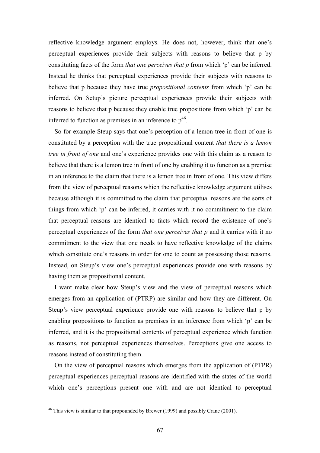reflective knowledge argument employs. He does not, however, think that one's perceptual experiences provide their subjects with reasons to believe that p by constituting facts of the form *that one perceives that p* from which 'p' can be inferred. Instead he thinks that perceptual experiences provide their subjects with reasons to believe that p because they have true *propositional contents* from which 'p' can be inferred. On Setup's picture perceptual experiences provide their subjects with reasons to believe that p because they enable true propositions from which 'p' can be inferred to function as premises in an inference to  $p^{46}$ .

So for example Steup says that one's perception of a lemon tree in front of one is constituted by a perception with the true propositional content *that there is a lemon tree in front of one* and one's experience provides one with this claim as a reason to believe that there is a lemon tree in front of one by enabling it to function as a premise in an inference to the claim that there is a lemon tree in front of one. This view differs from the view of perceptual reasons which the reflective knowledge argument utilises because although it is committed to the claim that perceptual reasons are the sorts of things from which 'p' can be inferred, it carries with it no commitment to the claim that perceptual reasons are identical to facts which record the existence of one's perceptual experiences of the form *that one perceives that p* and it carries with it no commitment to the view that one needs to have reflective knowledge of the claims which constitute one's reasons in order for one to count as possessing those reasons. Instead, on Steup's view one's perceptual experiences provide one with reasons by having them as propositional content.

I want make clear how Steup's view and the view of perceptual reasons which emerges from an application of (PTRP) are similar and how they are different. On Steup's view perceptual experience provide one with reasons to believe that p by enabling propositions to function as premises in an inference from which 'p' can be inferred, and it is the propositional contents of perceptual experience which function as reasons, not perceptual experiences themselves. Perceptions give one access to reasons instead of constituting them.

On the view of perceptual reasons which emerges from the application of (PTPR) perceptual experiences perceptual reasons are identified with the states of the world which one's perceptions present one with and are not identical to perceptual

 $46$  This view is similar to that propounded by Brewer (1999) and possibly Crane (2001).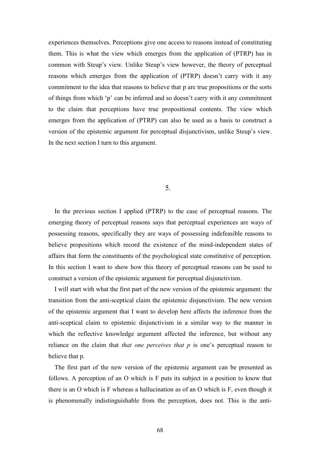experiences themselves. Perceptions give one access to reasons instead of constituting them. This is what the view which emerges from the application of (PTRP) has in common with Steup's view. Unlike Steup's view however, the theory of perceptual reasons which emerges from the application of (PTRP) doesn't carry with it any commitment to the idea that reasons to believe that p are true propositions or the sorts of things from which 'p' can be inferred and so doesn't carry with it any commitment to the claim that perceptions have true propositional contents. The view which emerges from the application of (PTRP) can also be used as a basis to construct a version of the epistemic argument for perceptual disjunctivism, unlike Steup's view. In the next section I turn to this argument.

# 5.

In the previous section I applied (PTRP) to the case of perceptual reasons. The emerging theory of perceptual reasons says that perceptual experiences are ways of possessing reasons, specifically they are ways of possessing indefeasible reasons to believe propositions which record the existence of the mind-independent states of affairs that form the constituents of the psychological state constitutive of perception. In this section I want to show how this theory of perceptual reasons can be used to construct a version of the epistemic argument for perceptual disjunctivism.

I will start with what the first part of the new version of the epistemic argument: the transition from the anti-sceptical claim the epistemic disjunctivism. The new version of the epistemic argument that I want to develop here affects the inference from the anti-sceptical claim to epistemic disjunctivism in a similar way to the manner in which the reflective knowledge argument affected the inference, but without any reliance on the claim that *that one perceives that p* is one's perceptual reason to believe that p.

The first part of the new version of the epistemic argument can be presented as follows. A perception of an O which is F puts its subject in a position to know that there is an O which is F whereas a hallucination as of an O which is F, even though it is phenomenally indistinguishable from the perception, does not. This is the anti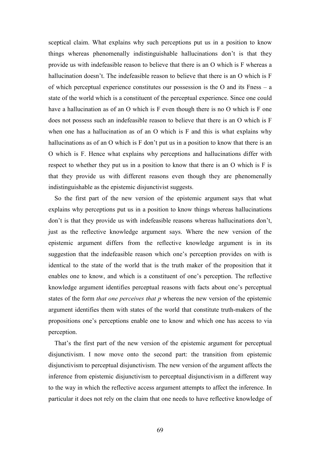sceptical claim. What explains why such perceptions put us in a position to know things whereas phenomenally indistinguishable hallucinations don't is that they provide us with indefeasible reason to believe that there is an O which is F whereas a hallucination doesn't. The indefeasible reason to believe that there is an O which is F of which perceptual experience constitutes our possession is the O and its Fness – a state of the world which is a constituent of the perceptual experience. Since one could have a hallucination as of an O which is F even though there is no O which is F one does not possess such an indefeasible reason to believe that there is an O which is F when one has a hallucination as of an O which is F and this is what explains why hallucinations as of an O which is F don't put us in a position to know that there is an O which is F. Hence what explains why perceptions and hallucinations differ with respect to whether they put us in a position to know that there is an O which is F is that they provide us with different reasons even though they are phenomenally indistinguishable as the epistemic disjunctivist suggests.

So the first part of the new version of the epistemic argument says that what explains why perceptions put us in a position to know things whereas hallucinations don't is that they provide us with indefeasible reasons whereas hallucinations don't, just as the reflective knowledge argument says. Where the new version of the epistemic argument differs from the reflective knowledge argument is in its suggestion that the indefeasible reason which one's perception provides on with is identical to the state of the world that is the truth maker of the proposition that it enables one to know, and which is a constituent of one's perception. The reflective knowledge argument identifies perceptual reasons with facts about one's perceptual states of the form *that one perceives that p* whereas the new version of the epistemic argument identifies them with states of the world that constitute truth-makers of the propositions one's perceptions enable one to know and which one has access to via perception.

That's the first part of the new version of the epistemic argument for perceptual disjunctivism. I now move onto the second part: the transition from epistemic disjunctivism to perceptual disjunctivism. The new version of the argument affects the inference from epistemic disjunctivism to perceptual disjunctivism in a different way to the way in which the reflective access argument attempts to affect the inference. In particular it does not rely on the claim that one needs to have reflective knowledge of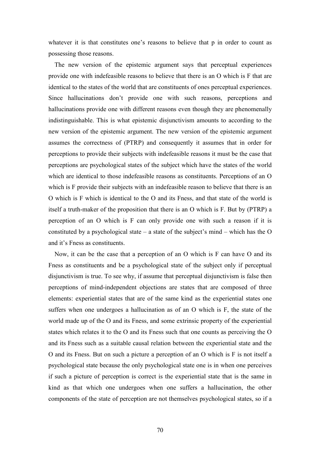whatever it is that constitutes one's reasons to believe that p in order to count as possessing those reasons.

The new version of the epistemic argument says that perceptual experiences provide one with indefeasible reasons to believe that there is an O which is F that are identical to the states of the world that are constituents of ones perceptual experiences. Since hallucinations don't provide one with such reasons, perceptions and hallucinations provide one with different reasons even though they are phenomenally indistinguishable. This is what epistemic disjunctivism amounts to according to the new version of the epistemic argument. The new version of the epistemic argument assumes the correctness of (PTRP) and consequently it assumes that in order for perceptions to provide their subjects with indefeasible reasons it must be the case that perceptions are psychological states of the subject which have the states of the world which are identical to those indefeasible reasons as constituents. Perceptions of an O which is F provide their subjects with an indefeasible reason to believe that there is an O which is F which is identical to the O and its Fness, and that state of the world is itself a truth-maker of the proposition that there is an O which is F. But by (PTRP) a perception of an O which is F can only provide one with such a reason if it is constituted by a psychological state – a state of the subject's mind – which has the  $O$ and it's Fness as constituents.

Now, it can be the case that a perception of an O which is F can have O and its Fness as constituents and be a psychological state of the subject only if perceptual disjunctivism is true. To see why, if assume that perceptual disjunctivism is false then perceptions of mind-independent objections are states that are composed of three elements: experiential states that are of the same kind as the experiential states one suffers when one undergoes a hallucination as of an O which is F, the state of the world made up of the O and its Fness, and some extrinsic property of the experiential states which relates it to the O and its Fness such that one counts as perceiving the O and its Fness such as a suitable causal relation between the experiential state and the O and its Fness. But on such a picture a perception of an O which is F is not itself a psychological state because the only psychological state one is in when one perceives if such a picture of perception is correct is the experiential state that is the same in kind as that which one undergoes when one suffers a hallucination, the other components of the state of perception are not themselves psychological states, so if a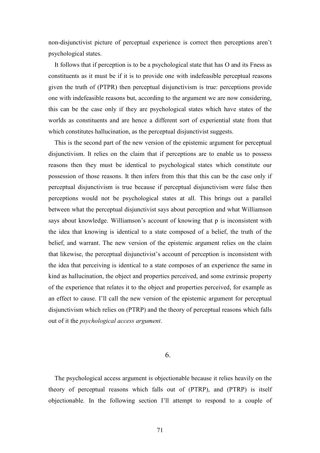non-disjunctivist picture of perceptual experience is correct then perceptions aren't psychological states.

It follows that if perception is to be a psychological state that has O and its Fness as constituents as it must be if it is to provide one with indefeasible perceptual reasons given the truth of (PTPR) then perceptual disjunctivism is true: perceptions provide one with indefeasible reasons but, according to the argument we are now considering, this can be the case only if they are psychological states which have states of the worlds as constituents and are hence a different sort of experiential state from that which constitutes hallucination, as the perceptual disjunctivist suggests.

This is the second part of the new version of the epistemic argument for perceptual disjunctivism. It relies on the claim that if perceptions are to enable us to possess reasons then they must be identical to psychological states which constitute our possession of those reasons. It then infers from this that this can be the case only if perceptual disjunctivism is true because if perceptual disjunctivism were false then perceptions would not be psychological states at all. This brings out a parallel between what the perceptual disjunctivist says about perception and what Williamson says about knowledge. Williamson's account of knowing that p is inconsistent with the idea that knowing is identical to a state composed of a belief, the truth of the belief, and warrant. The new version of the epistemic argument relies on the claim that likewise, the perceptual disjunctivist's account of perception is inconsistent with the idea that perceiving is identical to a state composes of an experience the same in kind as hallucination, the object and properties perceived, and some extrinsic property of the experience that relates it to the object and properties perceived, for example as an effect to cause. I'll call the new version of the epistemic argument for perceptual disjunctivism which relies on (PTRP) and the theory of perceptual reasons which falls out of it the *psychological access argument*.

#### 6.

The psychological access argument is objectionable because it relies heavily on the theory of perceptual reasons which falls out of (PTRP), and (PTRP) is itself objectionable. In the following section I'll attempt to respond to a couple of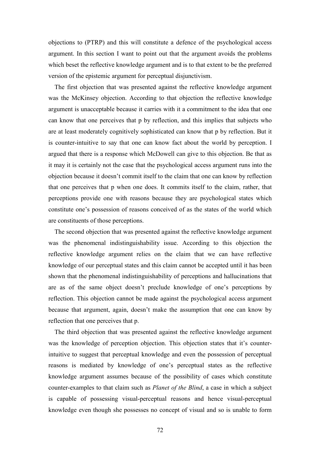objections to (PTRP) and this will constitute a defence of the psychological access argument. In this section I want to point out that the argument avoids the problems which beset the reflective knowledge argument and is to that extent to be the preferred version of the epistemic argument for perceptual disjunctivism.

The first objection that was presented against the reflective knowledge argument was the McKinsey objection. According to that objection the reflective knowledge argument is unacceptable because it carries with it a commitment to the idea that one can know that one perceives that p by reflection, and this implies that subjects who are at least moderately cognitively sophisticated can know that p by reflection. But it is counter-intuitive to say that one can know fact about the world by perception. I argued that there is a response which McDowell can give to this objection. Be that as it may it is certainly not the case that the psychological access argument runs into the objection because it doesn't commit itself to the claim that one can know by reflection that one perceives that p when one does. It commits itself to the claim, rather, that perceptions provide one with reasons because they are psychological states which constitute one's possession of reasons conceived of as the states of the world which are constituents of those perceptions.

The second objection that was presented against the reflective knowledge argument was the phenomenal indistinguishability issue. According to this objection the reflective knowledge argument relies on the claim that we can have reflective knowledge of our perceptual states and this claim cannot be accepted until it has been shown that the phenomenal indistinguishability of perceptions and hallucinations that are as of the same object doesn't preclude knowledge of one's perceptions by reflection. This objection cannot be made against the psychological access argument because that argument, again, doesn't make the assumption that one can know by reflection that one perceives that p.

The third objection that was presented against the reflective knowledge argument was the knowledge of perception objection. This objection states that it's counterintuitive to suggest that perceptual knowledge and even the possession of perceptual reasons is mediated by knowledge of one's perceptual states as the reflective knowledge argument assumes because of the possibility of cases which constitute counter-examples to that claim such as *Planet of the Blind*, a case in which a subject is capable of possessing visual-perceptual reasons and hence visual-perceptual knowledge even though she possesses no concept of visual and so is unable to form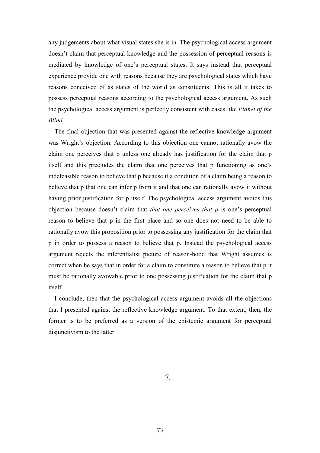any judgements about what visual states she is in. The psychological access argument doesn't claim that perceptual knowledge and the possession of perceptual reasons is mediated by knowledge of one's perceptual states. It says instead that perceptual experience provide one with reasons because they are psychological states which have reasons conceived of as states of the world as constituents. This is all it takes to possess perceptual reasons according to the psychological access argument. As such the psychological access argument is perfectly consistent with cases like *Planet of the Blind*.

The final objection that was presented against the reflective knowledge argument was Wright's objection. According to this objection one cannot rationally avow the claim one perceives that p unless one already has justification for the claim that p itself and this precludes the claim that one perceives that p functioning as one's indefeasible reason to believe that p because it a condition of a claim being a reason to believe that p that one can infer p from it and that one can rationally avow it without having prior justification for p itself. The psychological access argument avoids this objection because doesn't claim that *that one perceives that p* is one's perceptual reason to believe that p in the first place and so one does not need to be able to rationally avow this proposition prior to possessing any justification for the claim that p in order to possess a reason to believe that p. Instead the psychological access argument rejects the inferentialist picture of reason-hood that Wright assumes is correct when he says that in order for a claim to constitute a reason to believe that p it must be rationally avowable prior to one possessing justification for the claim that p itself.

I conclude, then that the psychological access argument avoids all the objections that I presented against the reflective knowledge argument. To that extent, then, the former is to be preferred as a version of the epistemic argument for perceptual disjunctivism to the latter.

7.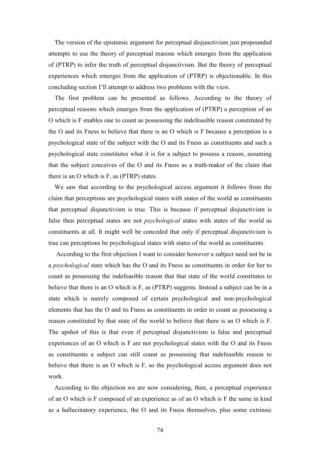The version of the epistemic argument for perceptual disjunctivism just propounded attempts to use the theory of perceptual reasons which emerges from the application of (PTRP) to infer the truth of perceptual disjunctivism. But the theory of perceptual experiences which emerges from the application of (PTRP) is objectionable. In this concluding section I'll attempt to address two problems with the view.

The first problem can be presented as follows. According to the theory of perceptual reasons which emerges from the application of (PTRP) a perception of an O which is F enables one to count as possessing the indefeasible reason constituted by the O and its Fness to believe that there is an O which is F because a perception is a psychological state of the subject with the O and its Fness as constituents and such a psychological state constitutes what it is for a subject to possess a reason, assuming that the subject conceives of the O and its Fness as a truth-maker of the claim that there is an O which is F, as (PTRP) states.

We saw that according to the psychological access argument it follows from the claim that perceptions are psychological states with states of the world as constituents that perceptual disjunctivism is true. This is because if perceptual disjunctivism is false then perceptual states are not *psychological* states with states of the world as constituents at all. It might well be conceded that only if perceptual disjunctivism is true can perceptions be psychological states with states of the world as constituents.

 According to the first objection I want to consider however a subject need not be in a *psychological* state which has the O and its Fness as constituents in order for her to count as possessing the indefeasible reason that that state of the world constitutes to believe that there is an O which is F, as (PTRP) suggests. Instead a subject can be in a state which is merely composed of certain psychological and non-psychological elements that has the O and its Fness as constituents in order to count as possessing a reason constituted by that state of the world to believe that there is an O which is F. The upshot of this is that even if perceptual disjunctivism is false and perceptual experiences of an O which is F are not psychological states with the O and its Fness as constituents a subject can still count as possessing that indefeasible reason to believe that there is an O which is F, so the psychological access argument does not work.

According to the objection we are now considering, then, a perceptual experience of an O which is F composed of an experience as of an O which is F the same in kind as a hallucinatory experience, the O and its Fness themselves, plus some extrinsic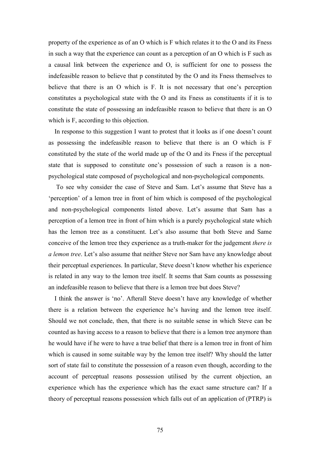property of the experience as of an O which is F which relates it to the O and its Fness in such a way that the experience can count as a perception of an O which is F such as a causal link between the experience and O, is sufficient for one to possess the indefeasible reason to believe that p constituted by the O and its Fness themselves to believe that there is an O which is F. It is not necessary that one's perception constitutes a psychological state with the O and its Fness as constituents if it is to constitute the state of possessing an indefeasible reason to believe that there is an O which is F, according to this objection.

In response to this suggestion I want to protest that it looks as if one doesn't count as possessing the indefeasible reason to believe that there is an O which is F constituted by the state of the world made up of the O and its Fness if the perceptual state that is supposed to constitute one's possession of such a reason is a nonpsychological state composed of psychological and non-psychological components.

 To see why consider the case of Steve and Sam. Let's assume that Steve has a 'perception' of a lemon tree in front of him which is composed of the psychological and non-psychological components listed above. Let's assume that Sam has a perception of a lemon tree in front of him which is a purely psychological state which has the lemon tree as a constituent. Let's also assume that both Steve and Same conceive of the lemon tree they experience as a truth-maker for the judgement *there is a lemon tree*. Let's also assume that neither Steve nor Sam have any knowledge about their perceptual experiences. In particular, Steve doesn't know whether his experience is related in any way to the lemon tree itself. It seems that Sam counts as possessing an indefeasible reason to believe that there is a lemon tree but does Steve?

I think the answer is 'no'. Afterall Steve doesn't have any knowledge of whether there is a relation between the experience he's having and the lemon tree itself. Should we not conclude, then, that there is no suitable sense in which Steve can be counted as having access to a reason to believe that there is a lemon tree anymore than he would have if he were to have a true belief that there is a lemon tree in front of him which is caused in some suitable way by the lemon tree itself? Why should the latter sort of state fail to constitute the possession of a reason even though, according to the account of perceptual reasons possession utilised by the current objection, an experience which has the experience which has the exact same structure can? If a theory of perceptual reasons possession which falls out of an application of (PTRP) is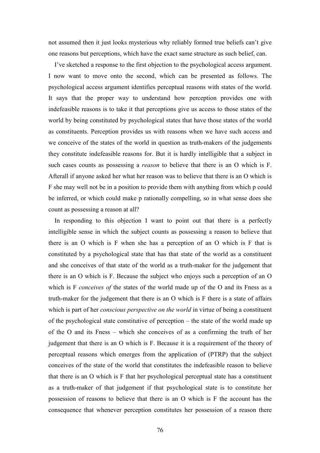not assumed then it just looks mysterious why reliably formed true beliefs can't give one reasons but perceptions, which have the exact same structure as such belief, can.

I've sketched a response to the first objection to the psychological access argument. I now want to move onto the second, which can be presented as follows. The psychological access argument identifies perceptual reasons with states of the world. It says that the proper way to understand how perception provides one with indefeasible reasons is to take it that perceptions give us access to those states of the world by being constituted by psychological states that have those states of the world as constituents. Perception provides us with reasons when we have such access and we conceive of the states of the world in question as truth-makers of the judgements they constitute indefeasible reasons for. But it is hardly intelligible that a subject in such cases counts as possessing a *reason* to believe that there is an O which is F. Afterall if anyone asked her what her reason was to believe that there is an O which is F she may well not be in a position to provide them with anything from which p could be inferred, or which could make p rationally compelling, so in what sense does she count as possessing a reason at all?

In responding to this objection I want to point out that there is a perfectly intelligible sense in which the subject counts as possessing a reason to believe that there is an O which is F when she has a perception of an O which is F that is constituted by a psychological state that has that state of the world as a constituent and she conceives of that state of the world as a truth-maker for the judgement that there is an O which is F. Because the subject who enjoys such a perception of an O which is F *conceives of* the states of the world made up of the O and its Fness as a truth-maker for the judgement that there is an O which is F there is a state of affairs which is part of her *conscious perspective on the world* in virtue of being a constituent of the psychological state constitutive of perception – the state of the world made up of the O and its Fness – which she conceives of as a confirming the truth of her judgement that there is an O which is F. Because it is a requirement of the theory of perceptual reasons which emerges from the application of (PTRP) that the subject conceives of the state of the world that constitutes the indefeasible reason to believe that there is an O which is F that her psychological perceptual state has a constituent as a truth-maker of that judgement if that psychological state is to constitute her possession of reasons to believe that there is an O which is F the account has the consequence that whenever perception constitutes her possession of a reason there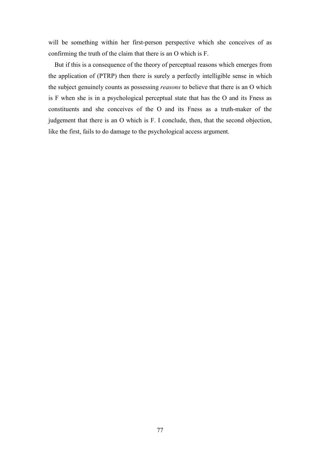will be something within her first-person perspective which she conceives of as confirming the truth of the claim that there is an O which is F.

But if this is a consequence of the theory of perceptual reasons which emerges from the application of (PTRP) then there is surely a perfectly intelligible sense in which the subject genuinely counts as possessing *reasons* to believe that there is an O which is F when she is in a psychological perceptual state that has the O and its Fness as constituents and she conceives of the O and its Fness as a truth-maker of the judgement that there is an O which is F. I conclude, then, that the second objection, like the first, fails to do damage to the psychological access argument.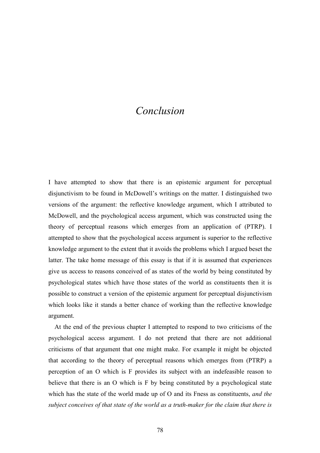## *Conclusion*

I have attempted to show that there is an epistemic argument for perceptual disjunctivism to be found in McDowell's writings on the matter. I distinguished two versions of the argument: the reflective knowledge argument, which I attributed to McDowell, and the psychological access argument, which was constructed using the theory of perceptual reasons which emerges from an application of (PTRP). I attempted to show that the psychological access argument is superior to the reflective knowledge argument to the extent that it avoids the problems which I argued beset the latter. The take home message of this essay is that if it is assumed that experiences give us access to reasons conceived of as states of the world by being constituted by psychological states which have those states of the world as constituents then it is possible to construct a version of the epistemic argument for perceptual disjunctivism which looks like it stands a better chance of working than the reflective knowledge argument.

At the end of the previous chapter I attempted to respond to two criticisms of the psychological access argument. I do not pretend that there are not additional criticisms of that argument that one might make. For example it might be objected that according to the theory of perceptual reasons which emerges from (PTRP) a perception of an O which is F provides its subject with an indefeasible reason to believe that there is an O which is F by being constituted by a psychological state which has the state of the world made up of O and its Fness as constituents, *and the subject conceives of that state of the world as a truth-maker for the claim that there is*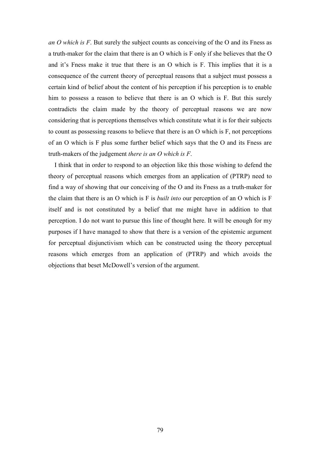*an O which is F*. But surely the subject counts as conceiving of the O and its Fness as a truth-maker for the claim that there is an O which is F only if she believes that the O and it's Fness make it true that there is an O which is F. This implies that it is a consequence of the current theory of perceptual reasons that a subject must possess a certain kind of belief about the content of his perception if his perception is to enable him to possess a reason to believe that there is an O which is F. But this surely contradicts the claim made by the theory of perceptual reasons we are now considering that is perceptions themselves which constitute what it is for their subjects to count as possessing reasons to believe that there is an O which is F, not perceptions of an O which is F plus some further belief which says that the O and its Fness are truth-makers of the judgement *there is an O which is F*.

I think that in order to respond to an objection like this those wishing to defend the theory of perceptual reasons which emerges from an application of (PTRP) need to find a way of showing that our conceiving of the O and its Fness as a truth-maker for the claim that there is an O which is F is *built into* our perception of an O which is F itself and is not constituted by a belief that me might have in addition to that perception. I do not want to pursue this line of thought here. It will be enough for my purposes if I have managed to show that there is a version of the epistemic argument for perceptual disjunctivism which can be constructed using the theory perceptual reasons which emerges from an application of (PTRP) and which avoids the objections that beset McDowell's version of the argument.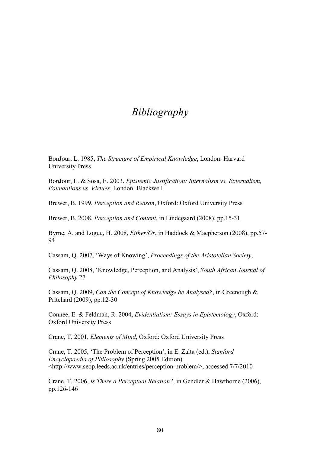## *Bibliography*

BonJour, L. 1985, *The Structure of Empirical Knowledge*, London: Harvard University Press

BonJour, L. & Sosa, E. 2003, *Epistemic Justification: Internalism vs. Externalism, Foundations vs. Virtues*, London: Blackwell

Brewer, B. 1999, *Perception and Reason*, Oxford: Oxford University Press

Brewer, B. 2008, *Perception and Content*, in Lindegaard (2008), pp.15-31

Byrne, A. and Logue, H. 2008, *Either/Or*, in Haddock & Macpherson (2008), pp.57- 94

Cassam, Q. 2007, 'Ways of Knowing', *Proceedings of the Aristotelian Society*,

Cassam, Q. 2008, 'Knowledge, Perception, and Analysis', *South African Journal of Philosophy* 27

Cassam, Q. 2009, *Can the Concept of Knowledge be Analysed?*, in Greenough & Pritchard (2009), pp.12-30

Connee, E. & Feldman, R. 2004, *Evidentialism: Essays in Epistemology*, Oxford: Oxford University Press

Crane, T. 2001, *Elements of Mind*, Oxford: Oxford University Press

Crane, T. 2005, 'The Problem of Perception', in E. Zalta (ed.), *Stanford Encyclopaedia of Philosophy* (Spring 2005 Edition). <http://www.seop.leeds.ac.uk/entries/perception-problem/>, accessed 7/7/2010

Crane, T. 2006, *Is There a Perceptual Relation?*, in Gendler & Hawthorne (2006), pp.126-146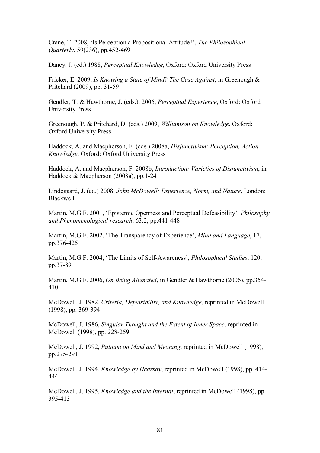Crane, T. 2008, 'Is Perception a Propositional Attitude?', *The Philosophical Quarterly*, 59(236), pp.452-469

Dancy, J. (ed.) 1988, *Perceptual Knowledge*, Oxford: Oxford University Press

Fricker, E. 2009, *Is Knowing a State of Mind? The Case Against*, in Greenough & Pritchard (2009), pp. 31-59

Gendler, T. & Hawthorne, J. (eds.), 2006, *Perceptual Experience*, Oxford: Oxford University Press

Greenough, P. & Pritchard, D. (eds.) 2009, *Williamson on Knowledge*, Oxford: Oxford University Press

Haddock, A. and Macpherson, F. (eds.) 2008a, *Disjunctivism: Perception, Action, Knowledge*, Oxford: Oxford University Press

Haddock, A. and Macpherson, F. 2008b, *Introduction: Varieties of Disjunctivism*, in Haddock & Macpherson (2008a), pp.1-24

Lindegaard, J. (ed.) 2008, *John McDowell: Experience, Norm, and Nature*, London: Blackwell

Martin, M.G.F. 2001, 'Epistemic Openness and Perceptual Defeasibility', *Philosophy and Phenomenological research*, 63:2, pp.441-448

Martin, M.G.F. 2002, 'The Transparency of Experience', *Mind and Language*, 17, pp.376-425

Martin, M.G.F. 2004, 'The Limits of Self-Awareness', *Philosophical Studies*, 120, pp.37-89

Martin, M.G.F. 2006, *On Being Alienated*, in Gendler & Hawthorne (2006), pp.354- 410

McDowell, J. 1982, *Criteria, Defeasibility, and Knowledge*, reprinted in McDowell (1998), pp. 369-394

McDowell, J. 1986, *Singular Thought and the Extent of Inner Space*, reprinted in McDowell (1998), pp. 228-259

McDowell, J. 1992, *Putnam on Mind and Meaning*, reprinted in McDowell (1998), pp.275-291

McDowell, J. 1994, *Knowledge by Hearsay*, reprinted in McDowell (1998), pp. 414- 444

McDowell, J. 1995, *Knowledge and the Internal*, reprinted in McDowell (1998), pp. 395-413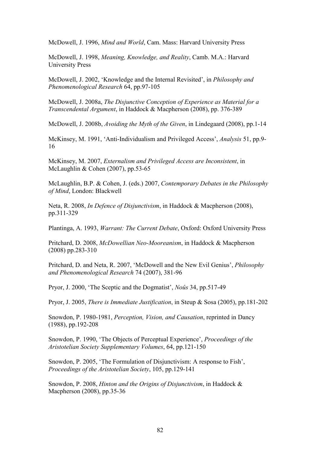McDowell, J. 1996, *Mind and World*, Cam. Mass: Harvard University Press

McDowell, J. 1998, *Meaning, Knowledge, and Reality*, Camb. M.A.: Harvard University Press

McDowell, J. 2002, 'Knowledge and the Internal Revisited', in *Philosophy and Phenomenological Research* 64, pp.97-105

McDowell, J. 2008a, *The Disjunctive Conception of Experience as Material for a Transcendental Argument*, in Haddock & Macpherson (2008), pp. 376-389

McDowell, J. 2008b, *Avoiding the Myth of the Given*, in Lindegaard (2008), pp.1-14

McKinsey, M. 1991, 'Anti-Individualism and Privileged Access', *Analysis* 51, pp.9- 16

McKinsey, M. 2007, *Externalism and Privileged Access are Inconsistent*, in McLaughlin & Cohen (2007), pp.53-65

McLaughlin, B.P. & Cohen, J. (eds.) 2007, *Contemporary Debates in the Philosophy of Mind*, London: Blackwell

Neta, R. 2008, *In Defence of Disjunctivism*, in Haddock & Macpherson (2008), pp.311-329

Plantinga, A. 1993, *Warrant: The Current Debate*, Oxford: Oxford University Press

Pritchard, D. 2008, *McDowellian Neo-Mooreanism*, in Haddock & Macpherson (2008) pp.283-310

Pritchard, D. and Neta, R. 2007, 'McDowell and the New Evil Genius', *Philosophy and Phenomenological Research* 74 (2007), 381-96

Pryor, J. 2000, 'The Sceptic and the Dogmatist', *Noûs* 34, pp.517-49

Pryor, J. 2005, *There is Immediate Justification*, in Steup & Sosa (2005), pp.181-202

Snowdon, P. 1980-1981, *Perception, Vision, and Causation*, reprinted in Dancy (1988), pp.192-208

Snowdon, P. 1990, 'The Objects of Perceptual Experience', *Proceedings of the Aristotelian Society Supplementary Volumes*, 64, pp.121-150

Snowdon, P. 2005, 'The Formulation of Disjunctivism: A response to Fish', *Proceedings of the Aristotelian Society*, 105, pp.129-141

Snowdon, P. 2008, *Hinton and the Origins of Disjunctivism*, in Haddock & Macpherson (2008), pp.35-36